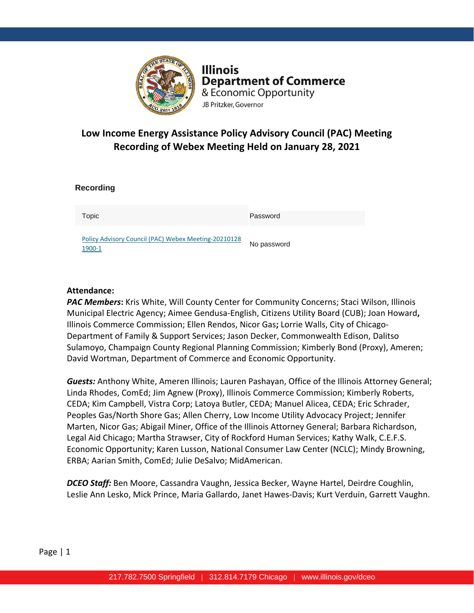

**Illinois Department of Commerce** & Economic Opportunity JB Pritzker, Governor

# **Low Income Energy Assistance Policy Advisory Council (PAC) Meeting Recording of Webex Meeting Held on January 28, 2021**

| <b>Recording</b>                                               |             |
|----------------------------------------------------------------|-------------|
| Topic                                                          | Password    |
| Policy Advisory Council (PAC) Webex Meeting-20210128<br>1900-1 | No password |

## **Attendance:**

*PAC Members***:** Kris White, Will County Center for Community Concerns; Staci Wilson, Illinois Municipal Electric Agency; Aimee Gendusa-English, Citizens Utility Board (CUB); Joan Howard**,** Illinois Commerce Commission; Ellen Rendos, Nicor Gas**;** Lorrie Walls, City of Chicago-Department of Family & Support Services; Jason Decker, Commonwealth Edison, Dalitso Sulamoyo, Champaign County Regional Planning Commission; Kimberly Bond (Proxy), Ameren; David Wortman, Department of Commerce and Economic Opportunity.

*Guests:* Anthony White, Ameren Illinois; Lauren Pashayan, Office of the Illinois Attorney General; Linda Rhodes, ComEd; Jim Agnew (Proxy), Illinois Commerce Commission; Kimberly Roberts, CEDA; Kim Campbell, Vistra Corp; Latoya Butler, CEDA; Manuel Alicea, CEDA; Eric Schrader, Peoples Gas/North Shore Gas; Allen Cherry, Low Income Utility Advocacy Project; Jennifer Marten, Nicor Gas; Abigail Miner, Office of the Illinois Attorney General; Barbara Richardson, Legal Aid Chicago; Martha Strawser, City of Rockford Human Services; Kathy Walk, C.E.F.S. Economic Opportunity; Karen Lusson, National Consumer Law Center (NCLC); Mindy Browning, ERBA; Aarian Smith, ComEd; Julie DeSalvo; MidAmerican.

*DCEO Staff:* Ben Moore, Cassandra Vaughn, Jessica Becker, Wayne Hartel, Deirdre Coughlin, Leslie Ann Lesko, Mick Prince, Maria Gallardo, Janet Hawes-Davis; Kurt Verduin, Garrett Vaughn.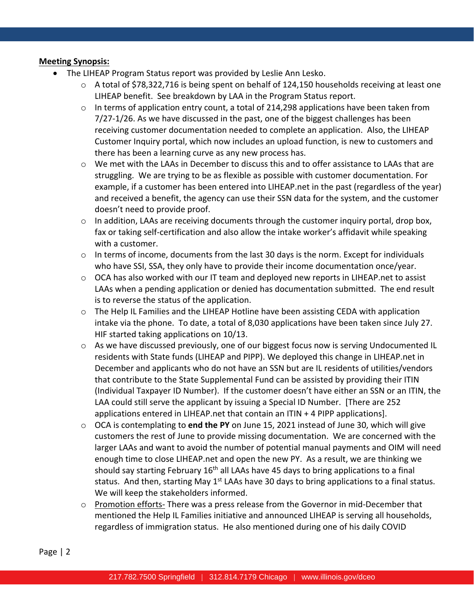# **Meeting Synopsis:**

- The LIHEAP Program Status report was provided by Leslie Ann Lesko.
	- o A total of \$78,322,716 is being spent on behalf of 124,150 households receiving at least one LIHEAP benefit. See breakdown by LAA in the Program Status report.
	- $\circ$  In terms of application entry count, a total of 214,298 applications have been taken from 7/27-1/26. As we have discussed in the past, one of the biggest challenges has been receiving customer documentation needed to complete an application. Also, the LIHEAP Customer Inquiry portal, which now includes an upload function, is new to customers and there has been a learning curve as any new process has.
	- o We met with the LAAs in December to discuss this and to offer assistance to LAAs that are struggling. We are trying to be as flexible as possible with customer documentation. For example, if a customer has been entered into LIHEAP.net in the past (regardless of the year) and received a benefit, the agency can use their SSN data for the system, and the customer doesn't need to provide proof.
	- o In addition, LAAs are receiving documents through the customer inquiry portal, drop box, fax or taking self-certification and also allow the intake worker's affidavit while speaking with a customer.
	- o In terms of income, documents from the last 30 days is the norm. Except for individuals who have SSI, SSA, they only have to provide their income documentation once/year.
	- $\circ$  OCA has also worked with our IT team and deployed new reports in LIHEAP.net to assist LAAs when a pending application or denied has documentation submitted. The end result is to reverse the status of the application.
	- $\circ$  The Help IL Families and the LIHEAP Hotline have been assisting CEDA with application intake via the phone. To date, a total of 8,030 applications have been taken since July 27. HIF started taking applications on 10/13.
	- $\circ$  As we have discussed previously, one of our biggest focus now is serving Undocumented IL residents with State funds (LIHEAP and PIPP). We deployed this change in LIHEAP.net in December and applicants who do not have an SSN but are IL residents of utilities/vendors that contribute to the State Supplemental Fund can be assisted by providing their ITIN (Individual Taxpayer ID Number). If the customer doesn't have either an SSN or an ITIN, the LAA could still serve the applicant by issuing a Special ID Number. [There are 252 applications entered in LIHEAP.net that contain an ITIN + 4 PIPP applications].
	- o OCA is contemplating to **end the PY** on June 15, 2021 instead of June 30, which will give customers the rest of June to provide missing documentation. We are concerned with the larger LAAs and want to avoid the number of potential manual payments and OIM will need enough time to close LIHEAP.net and open the new PY. As a result, we are thinking we should say starting February  $16<sup>th</sup>$  all LAAs have 45 days to bring applications to a final status. And then, starting May  $1<sup>st</sup>$  LAAs have 30 days to bring applications to a final status. We will keep the stakeholders informed.
	- $\circ$  Promotion efforts-There was a press release from the Governor in mid-December that mentioned the Help IL Families initiative and announced LIHEAP is serving all households, regardless of immigration status. He also mentioned during one of his daily COVID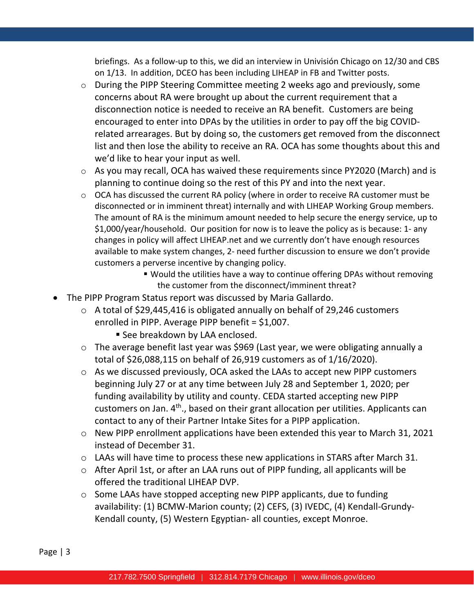briefings. As a follow-up to this, we did an interview in Univisión Chicago on 12/30 and CBS on 1/13. In addition, DCEO has been including LIHEAP in FB and Twitter posts.

- o During the PIPP Steering Committee meeting 2 weeks ago and previously, some concerns about RA were brought up about the current requirement that a disconnection notice is needed to receive an RA benefit. Customers are being encouraged to enter into DPAs by the utilities in order to pay off the big COVIDrelated arrearages. But by doing so, the customers get removed from the disconnect list and then lose the ability to receive an RA. OCA has some thoughts about this and we'd like to hear your input as well.
- o As you may recall, OCA has waived these requirements since PY2020 (March) and is planning to continue doing so the rest of this PY and into the next year.
- o OCA has discussed the current RA policy (where in order to receive RA customer must be disconnected or in imminent threat) internally and with LIHEAP Working Group members. The amount of RA is the minimum amount needed to help secure the energy service, up to \$1,000/year/household. Our position for now is to leave the policy as is because: 1- any changes in policy will affect LIHEAP.net and we currently don't have enough resources available to make system changes, 2- need further discussion to ensure we don't provide customers a perverse incentive by changing policy.
	- Would the utilities have a way to continue offering DPAs without removing the customer from the disconnect/imminent threat?
- The PIPP Program Status report was discussed by Maria Gallardo.
	- o A total of \$29,445,416 is obligated annually on behalf of 29,246 customers enrolled in PIPP. Average PIPP benefit = \$1,007.
		- **E** See breakdown by LAA enclosed.
	- o The average benefit last year was \$969 (Last year, we were obligating annually a total of \$26,088,115 on behalf of 26,919 customers as of 1/16/2020).
	- o As we discussed previously, OCA asked the LAAs to accept new PIPP customers beginning July 27 or at any time between July 28 and September 1, 2020; per funding availability by utility and county. CEDA started accepting new PIPP customers on Jan. 4<sup>th</sup>., based on their grant allocation per utilities. Applicants can contact to any of their Partner Intake Sites for a PIPP application.
	- o New PIPP enrollment applications have been extended this year to March 31, 2021 instead of December 31.
	- o LAAs will have time to process these new applications in STARS after March 31.
	- o After April 1st, or after an LAA runs out of PIPP funding, all applicants will be offered the traditional LIHEAP DVP.
	- $\circ$  Some LAAs have stopped accepting new PIPP applicants, due to funding availability: (1) BCMW-Marion county; (2) CEFS, (3) IVEDC, (4) Kendall-Grundy-Kendall county, (5) Western Egyptian- all counties, except Monroe.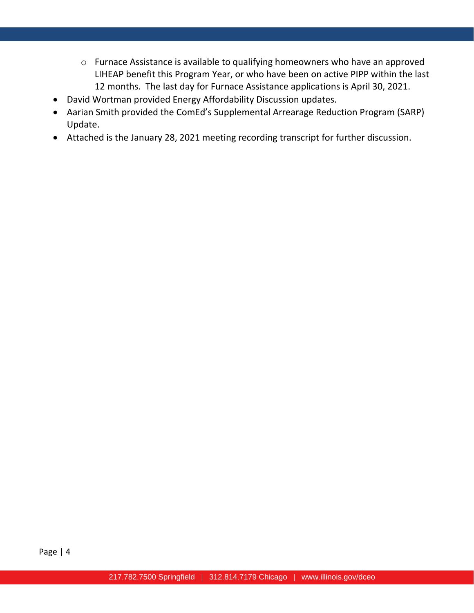- o Furnace Assistance is available to qualifying homeowners who have an approved LIHEAP benefit this Program Year, or who have been on active PIPP within the last 12 months. The last day for Furnace Assistance applications is April 30, 2021.
- David Wortman provided Energy Affordability Discussion updates.
- Aarian Smith provided the ComEd's Supplemental Arrearage Reduction Program (SARP) Update.
- Attached is the January 28, 2021 meeting recording transcript for further discussion.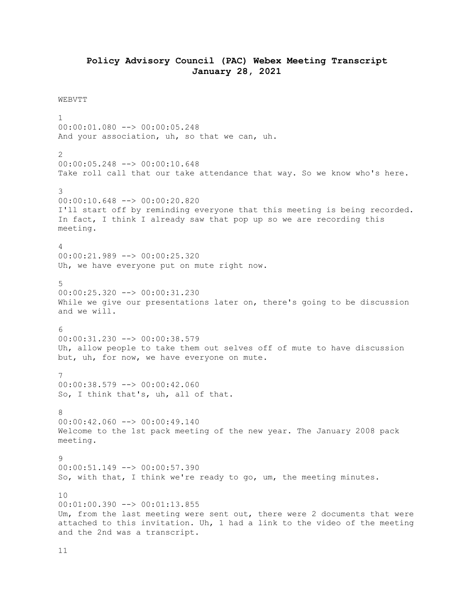## **Policy Advisory Council (PAC) Webex Meeting Transcript January 28, 2021**

#### WEBVTT

1 00:00:01.080 --> 00:00:05.248 And your association, uh, so that we can, uh. 2 00:00:05.248 --> 00:00:10.648 Take roll call that our take attendance that way. So we know who's here. 3 00:00:10.648 --> 00:00:20.820 I'll start off by reminding everyone that this meeting is being recorded. In fact, I think I already saw that pop up so we are recording this meeting.  $\Delta$ 00:00:21.989 --> 00:00:25.320 Uh, we have everyone put on mute right now. 5 00:00:25.320 --> 00:00:31.230 While we give our presentations later on, there's going to be discussion and we will. 6 00:00:31.230 --> 00:00:38.579 Uh, allow people to take them out selves off of mute to have discussion but, uh, for now, we have everyone on mute. 7  $00:00:38.579$   $\longrightarrow$   $00:00:42.060$ So, I think that's, uh, all of that. 8 00:00:42.060 --> 00:00:49.140 Welcome to the 1st pack meeting of the new year. The January 2008 pack meeting. 9 00:00:51.149 --> 00:00:57.390 So, with that, I think we're ready to go, um, the meeting minutes. 10 00:01:00.390 --> 00:01:13.855 Um, from the last meeting were sent out, there were 2 documents that were attached to this invitation. Uh, 1 had a link to the video of the meeting and the 2nd was a transcript.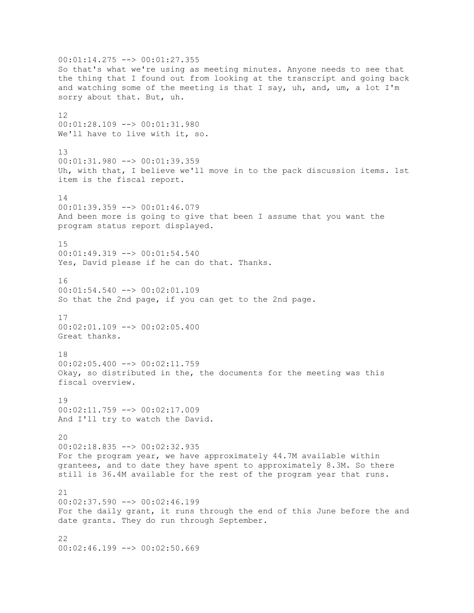00:01:14.275 --> 00:01:27.355 So that's what we're using as meeting minutes. Anyone needs to see that the thing that I found out from looking at the transcript and going back and watching some of the meeting is that I say, uh, and, um, a lot I'm sorry about that. But, uh. 12 00:01:28.109 --> 00:01:31.980 We'll have to live with it, so. 13 00:01:31.980 --> 00:01:39.359 Uh, with that, I believe we'll move in to the pack discussion items. 1st item is the fiscal report. 14  $00:01:39.359$  -->  $00:01:46.079$ And been more is going to give that been I assume that you want the program status report displayed. 15 00:01:49.319 --> 00:01:54.540 Yes, David please if he can do that. Thanks. 16 00:01:54.540 --> 00:02:01.109 So that the 2nd page, if you can get to the 2nd page. 17 00:02:01.109 --> 00:02:05.400 Great thanks. 18  $00:02:05.400$  -->  $00:02:11.759$ Okay, so distributed in the, the documents for the meeting was this fiscal overview. 19 00:02:11.759 --> 00:02:17.009 And I'll try to watch the David. 20 00:02:18.835 --> 00:02:32.935 For the program year, we have approximately 44.7M available within grantees, and to date they have spent to approximately 8.3M. So there still is 36.4M available for the rest of the program year that runs. 21 00:02:37.590 --> 00:02:46.199 For the daily grant, it runs through the end of this June before the and date grants. They do run through September.  $22$  $00:02:46.199$   $\longrightarrow$   $00:02:50.669$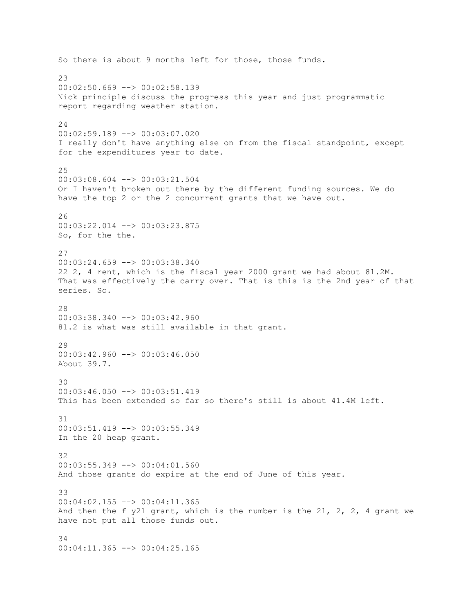So there is about 9 months left for those, those funds.  $23$  $00:02:50.669$  -->  $00:02:58.139$ Nick principle discuss the progress this year and just programmatic report regarding weather station. 24 00:02:59.189 --> 00:03:07.020 I really don't have anything else on from the fiscal standpoint, except for the expenditures year to date. 25 00:03:08.604 --> 00:03:21.504 Or I haven't broken out there by the different funding sources. We do have the top 2 or the 2 concurrent grants that we have out. 26 00:03:22.014 --> 00:03:23.875 So, for the the. 27 00:03:24.659 --> 00:03:38.340 22 2, 4 rent, which is the fiscal year 2000 grant we had about 81.2M. That was effectively the carry over. That is this is the 2nd year of that series. So. 28 00:03:38.340 --> 00:03:42.960 81.2 is what was still available in that grant. 29 00:03:42.960 --> 00:03:46.050 About 39.7. 30 00:03:46.050 --> 00:03:51.419 This has been extended so far so there's still is about 41.4M left. 31 00:03:51.419 --> 00:03:55.349 In the 20 heap grant. 32 00:03:55.349 --> 00:04:01.560 And those grants do expire at the end of June of this year. 33 00:04:02.155 --> 00:04:11.365 And then the f y21 grant, which is the number is the 21, 2, 2, 4 grant we have not put all those funds out. 34 00:04:11.365 --> 00:04:25.165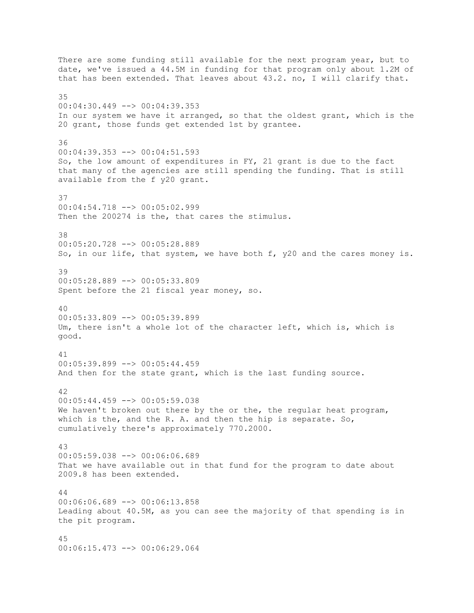There are some funding still available for the next program year, but to date, we've issued a 44.5M in funding for that program only about 1.2M of that has been extended. That leaves about 43.2. no, I will clarify that. 35 00:04:30.449 --> 00:04:39.353 In our system we have it arranged, so that the oldest grant, which is the 20 grant, those funds get extended 1st by grantee. 36  $00:04:39.353$   $\leftarrow$   $>$  00:04:51.593 So, the low amount of expenditures in FY, 21 grant is due to the fact that many of the agencies are still spending the funding. That is still available from the f y20 grant. 37 00:04:54.718 --> 00:05:02.999 Then the 200274 is the, that cares the stimulus. 38 00:05:20.728 --> 00:05:28.889 So, in our life, that system, we have both f, y20 and the cares money is. 39 00:05:28.889 --> 00:05:33.809 Spent before the 21 fiscal year money, so. 40 00:05:33.809 --> 00:05:39.899 Um, there isn't a whole lot of the character left, which is, which is good. 41 00:05:39.899 --> 00:05:44.459 And then for the state grant, which is the last funding source. 42 00:05:44.459 --> 00:05:59.038 We haven't broken out there by the or the, the regular heat program, which is the, and the R. A. and then the hip is separate. So, cumulatively there's approximately 770.2000. 43 00:05:59.038 --> 00:06:06.689 That we have available out in that fund for the program to date about 2009.8 has been extended. 44 00:06:06.689 --> 00:06:13.858 Leading about 40.5M, as you can see the majority of that spending is in the pit program. 45 00:06:15.473 --> 00:06:29.064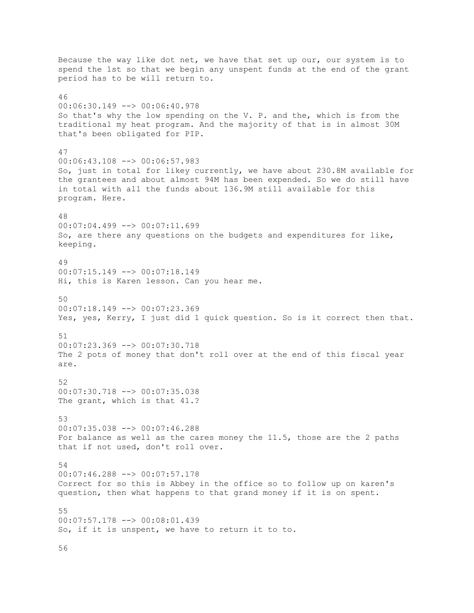Because the way like dot net, we have that set up our, our system is to spend the 1st so that we begin any unspent funds at the end of the grant period has to be will return to. 46 00:06:30.149 --> 00:06:40.978 So that's why the low spending on the V. P. and the, which is from the traditional my heat program. And the majority of that is in almost 30M that's been obligated for PIP. 47 00:06:43.108 --> 00:06:57.983 So, just in total for likey currently, we have about 230.8M available for the grantees and about almost 94M has been expended. So we do still have in total with all the funds about 136.9M still available for this program. Here. 48 00:07:04.499 --> 00:07:11.699 So, are there any questions on the budgets and expenditures for like, keeping. 49 00:07:15.149 --> 00:07:18.149 Hi, this is Karen lesson. Can you hear me. 50 00:07:18.149 --> 00:07:23.369 Yes, yes, Kerry, I just did 1 quick question. So is it correct then that. 51 00:07:23.369 --> 00:07:30.718 The 2 pots of money that don't roll over at the end of this fiscal year are. 52 00:07:30.718 --> 00:07:35.038 The grant, which is that 41.? 53 00:07:35.038 --> 00:07:46.288 For balance as well as the cares money the 11.5, those are the 2 paths that if not used, don't roll over. 54 00:07:46.288 --> 00:07:57.178 Correct for so this is Abbey in the office so to follow up on karen's question, then what happens to that grand money if it is on spent. 55 00:07:57.178 --> 00:08:01.439 So, if it is unspent, we have to return it to to.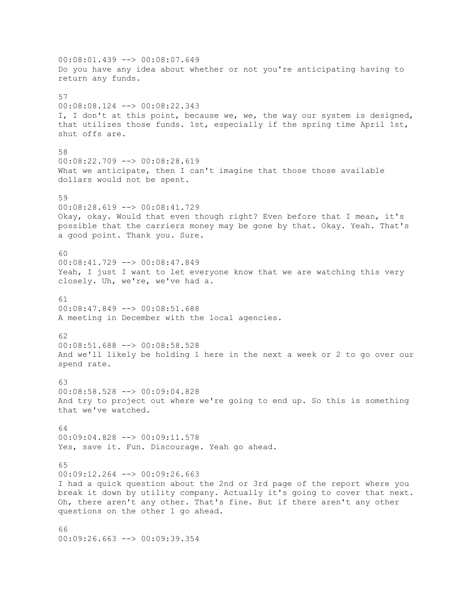00:08:01.439 --> 00:08:07.649 Do you have any idea about whether or not you're anticipating having to return any funds. 57 00:08:08.124 --> 00:08:22.343 I, I don't at this point, because we, we, the way our system is designed, that utilizes those funds. 1st, especially if the spring time April 1st, shut offs are. 58 00:08:22.709 --> 00:08:28.619 What we anticipate, then I can't imagine that those those available dollars would not be spent. 59  $00:08:28.619$  -->  $00:08:41.729$ Okay, okay. Would that even though right? Even before that I mean, it's possible that the carriers money may be gone by that. Okay. Yeah. That's a good point. Thank you. Sure. 60 00:08:41.729 --> 00:08:47.849 Yeah, I just I want to let everyone know that we are watching this very closely. Uh, we're, we've had a. 61 00:08:47.849 --> 00:08:51.688 A meeting in December with the local agencies. 62 00:08:51.688 --> 00:08:58.528 And we'll likely be holding 1 here in the next a week or 2 to go over our spend rate. 63 00:08:58.528 --> 00:09:04.828 And try to project out where we're going to end up. So this is something that we've watched. 64 00:09:04.828 --> 00:09:11.578 Yes, save it. Fun. Discourage. Yeah go ahead. 65  $00:09:12.264$  -->  $00:09:26.663$ I had a quick question about the 2nd or 3rd page of the report where you break it down by utility company. Actually it's going to cover that next. Oh, there aren't any other. That's fine. But if there aren't any other questions on the other 1 go ahead. 66 00:09:26.663 --> 00:09:39.354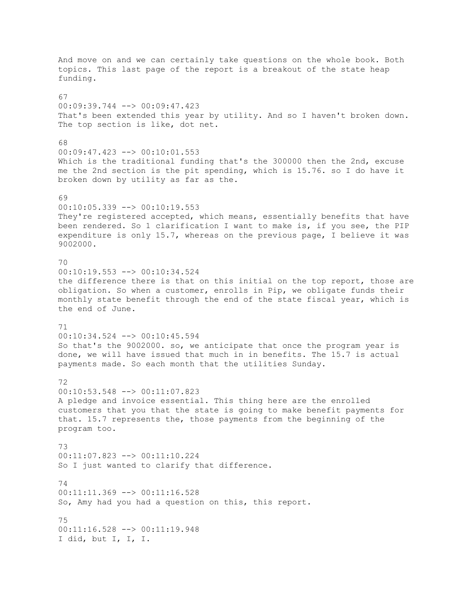And move on and we can certainly take questions on the whole book. Both topics. This last page of the report is a breakout of the state heap funding. 67 00:09:39.744 --> 00:09:47.423 That's been extended this year by utility. And so I haven't broken down. The top section is like, dot net. 68  $00:09:47.423$   $\longrightarrow$   $00:10:01.553$ Which is the traditional funding that's the 300000 then the 2nd, excuse me the 2nd section is the pit spending, which is 15.76. so I do have it broken down by utility as far as the. 69  $00:10:05.339$  -->  $00:10:19.553$ They're registered accepted, which means, essentially benefits that have been rendered. So 1 clarification I want to make is, if you see, the PIP expenditure is only 15.7, whereas on the previous page, I believe it was 9002000. 70 00:10:19.553 --> 00:10:34.524 the difference there is that on this initial on the top report, those are obligation. So when a customer, enrolls in Pip, we obligate funds their monthly state benefit through the end of the state fiscal year, which is the end of June. 71 00:10:34.524 --> 00:10:45.594 So that's the 9002000. so, we anticipate that once the program year is done, we will have issued that much in in benefits. The 15.7 is actual payments made. So each month that the utilities Sunday. 72 00:10:53.548 --> 00:11:07.823 A pledge and invoice essential. This thing here are the enrolled customers that you that the state is going to make benefit payments for that. 15.7 represents the, those payments from the beginning of the program too. 73 00:11:07.823 --> 00:11:10.224 So I just wanted to clarify that difference. 74 00:11:11.369 --> 00:11:16.528 So, Amy had you had a question on this, this report. 75 00:11:16.528 --> 00:11:19.948 I did, but I, I, I.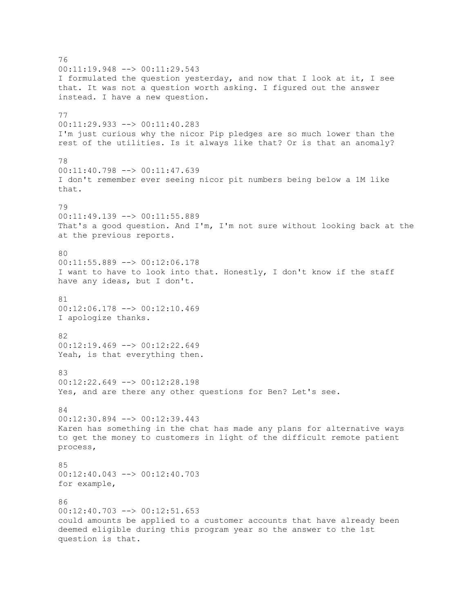76 00:11:19.948 --> 00:11:29.543 I formulated the question yesterday, and now that I look at it, I see that. It was not a question worth asking. I figured out the answer instead. I have a new question. 77 00:11:29.933 --> 00:11:40.283 I'm just curious why the nicor Pip pledges are so much lower than the rest of the utilities. Is it always like that? Or is that an anomaly? 78 00:11:40.798 --> 00:11:47.639 I don't remember ever seeing nicor pit numbers being below a 1M like that. 79  $00:11:49.139$  -->  $00:11:55.889$ That's a good question. And I'm, I'm not sure without looking back at the at the previous reports. 80 00:11:55.889 --> 00:12:06.178 I want to have to look into that. Honestly, I don't know if the staff have any ideas, but I don't. 81 00:12:06.178 --> 00:12:10.469 I apologize thanks. 82 00:12:19.469 --> 00:12:22.649 Yeah, is that everything then. 83 00:12:22.649 --> 00:12:28.198 Yes, and are there any other questions for Ben? Let's see. 84 00:12:30.894 --> 00:12:39.443 Karen has something in the chat has made any plans for alternative ways to get the money to customers in light of the difficult remote patient process, 85  $00:12:40.043$  -->  $00:12:40.703$ for example,  $86$ 00:12:40.703 --> 00:12:51.653 could amounts be applied to a customer accounts that have already been deemed eligible during this program year so the answer to the 1st question is that.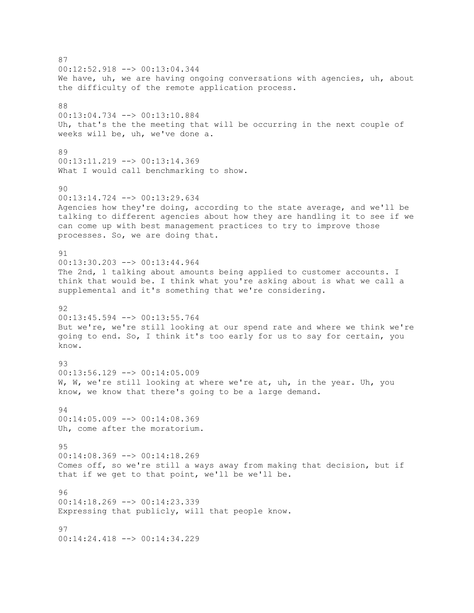87 00:12:52.918 --> 00:13:04.344 We have, uh, we are having ongoing conversations with agencies, uh, about the difficulty of the remote application process. 88 00:13:04.734 --> 00:13:10.884 Uh, that's the the meeting that will be occurring in the next couple of weeks will be, uh, we've done a. 89 00:13:11.219 --> 00:13:14.369 What I would call benchmarking to show. 90 00:13:14.724 --> 00:13:29.634 Agencies how they're doing, according to the state average, and we'll be talking to different agencies about how they are handling it to see if we can come up with best management practices to try to improve those processes. So, we are doing that. 91 00:13:30.203 --> 00:13:44.964 The 2nd, 1 talking about amounts being applied to customer accounts. I think that would be. I think what you're asking about is what we call a supplemental and it's something that we're considering. 92 00:13:45.594 --> 00:13:55.764 But we're, we're still looking at our spend rate and where we think we're going to end. So, I think it's too early for us to say for certain, you know. 93 00:13:56.129 --> 00:14:05.009 W, W, we're still looking at where we're at, uh, in the year. Uh, you know, we know that there's going to be a large demand. 94 00:14:05.009 --> 00:14:08.369 Uh, come after the moratorium. 95 00:14:08.369 --> 00:14:18.269 Comes off, so we're still a ways away from making that decision, but if that if we get to that point, we'll be we'll be. 96 00:14:18.269 --> 00:14:23.339 Expressing that publicly, will that people know. 97 00:14:24.418 --> 00:14:34.229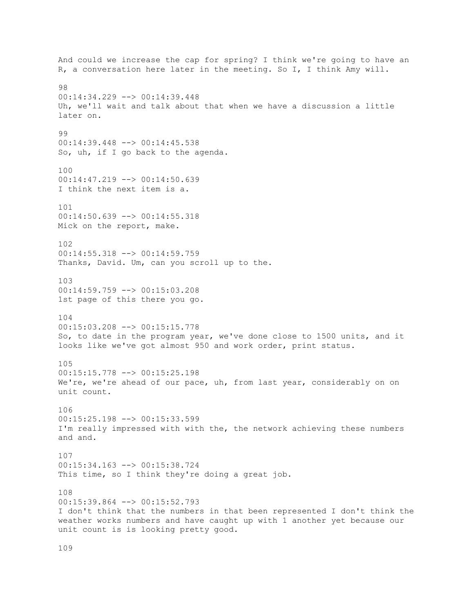And could we increase the cap for spring? I think we're going to have an R, a conversation here later in the meeting. So I, I think Amy will. 98 00:14:34.229 --> 00:14:39.448 Uh, we'll wait and talk about that when we have a discussion a little later on. 99 00:14:39.448 --> 00:14:45.538 So, uh, if I go back to the agenda. 100 00:14:47.219 --> 00:14:50.639 I think the next item is a. 101 00:14:50.639 --> 00:14:55.318 Mick on the report, make. 102 00:14:55.318 --> 00:14:59.759 Thanks, David. Um, can you scroll up to the. 103 00:14:59.759 --> 00:15:03.208 1st page of this there you go. 104 00:15:03.208 --> 00:15:15.778 So, to date in the program year, we've done close to 1500 units, and it looks like we've got almost 950 and work order, print status. 105 00:15:15.778 --> 00:15:25.198 We're, we're ahead of our pace, uh, from last year, considerably on on unit count. 106 00:15:25.198 --> 00:15:33.599 I'm really impressed with with the, the network achieving these numbers and and. 107 00:15:34.163 --> 00:15:38.724 This time, so I think they're doing a great job. 108 00:15:39.864 --> 00:15:52.793 I don't think that the numbers in that been represented I don't think the weather works numbers and have caught up with 1 another yet because our unit count is is looking pretty good.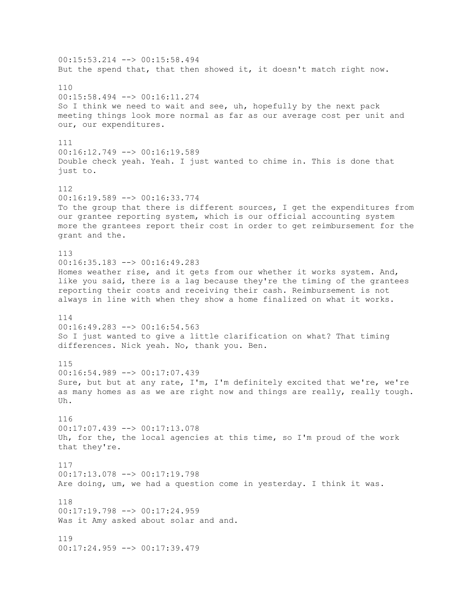00:15:53.214 --> 00:15:58.494 But the spend that, that then showed it, it doesn't match right now. 110 00:15:58.494 --> 00:16:11.274 So I think we need to wait and see, uh, hopefully by the next pack meeting things look more normal as far as our average cost per unit and our, our expenditures. 111  $00:16:12.749$  -->  $00:16:19.589$ Double check yeah. Yeah. I just wanted to chime in. This is done that just to. 112 00:16:19.589 --> 00:16:33.774 To the group that there is different sources, I get the expenditures from our grantee reporting system, which is our official accounting system more the grantees report their cost in order to get reimbursement for the grant and the. 113 00:16:35.183 --> 00:16:49.283 Homes weather rise, and it gets from our whether it works system. And, like you said, there is a lag because they're the timing of the grantees reporting their costs and receiving their cash. Reimbursement is not always in line with when they show a home finalized on what it works. 114 00:16:49.283 --> 00:16:54.563 So I just wanted to give a little clarification on what? That timing differences. Nick yeah. No, thank you. Ben. 115 00:16:54.989 --> 00:17:07.439 Sure, but but at any rate, I'm, I'm definitely excited that we're, we're as many homes as as we are right now and things are really, really tough. Uh. 116 00:17:07.439 --> 00:17:13.078 Uh, for the, the local agencies at this time, so I'm proud of the work that they're. 117 00:17:13.078 --> 00:17:19.798 Are doing, um, we had a question come in yesterday. I think it was. 118 00:17:19.798 --> 00:17:24.959 Was it Amy asked about solar and and. 119 00:17:24.959 --> 00:17:39.479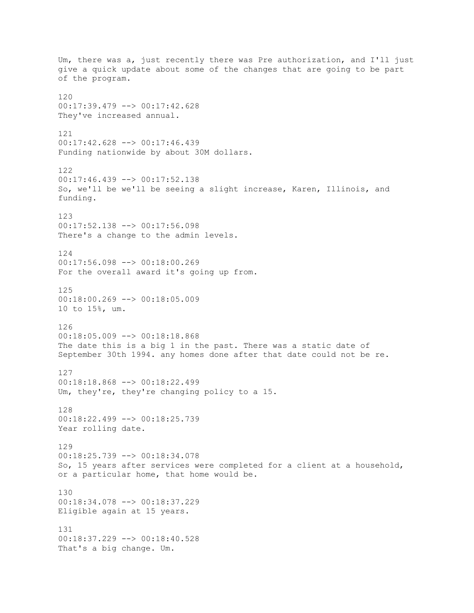Um, there was a, just recently there was Pre authorization, and I'll just give a quick update about some of the changes that are going to be part of the program. 120 00:17:39.479 --> 00:17:42.628 They've increased annual. 121 00:17:42.628 --> 00:17:46.439 Funding nationwide by about 30M dollars. 122 00:17:46.439 --> 00:17:52.138 So, we'll be we'll be seeing a slight increase, Karen, Illinois, and funding. 123 00:17:52.138 --> 00:17:56.098 There's a change to the admin levels. 124 00:17:56.098 --> 00:18:00.269 For the overall award it's going up from. 125 00:18:00.269 --> 00:18:05.009 10 to 15%, um. 126 00:18:05.009 --> 00:18:18.868 The date this is a big 1 in the past. There was a static date of September 30th 1994. any homes done after that date could not be re. 127 00:18:18.868 --> 00:18:22.499 Um, they're, they're changing policy to a 15. 128 00:18:22.499 --> 00:18:25.739 Year rolling date. 129 00:18:25.739 --> 00:18:34.078 So, 15 years after services were completed for a client at a household, or a particular home, that home would be. 130 00:18:34.078 --> 00:18:37.229 Eligible again at 15 years. 131 00:18:37.229 --> 00:18:40.528 That's a big change. Um.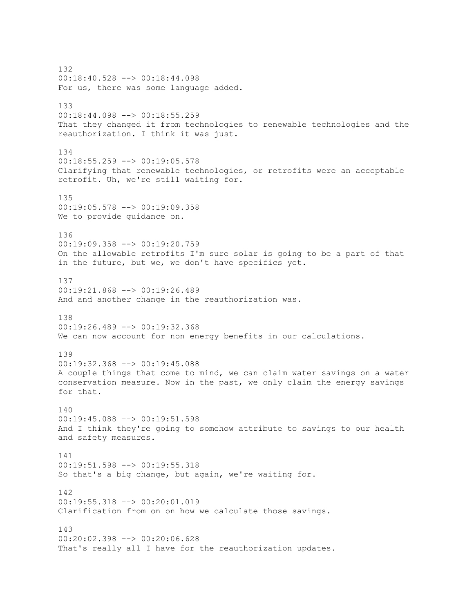132 00:18:40.528 --> 00:18:44.098 For us, there was some language added. 133 00:18:44.098 --> 00:18:55.259 That they changed it from technologies to renewable technologies and the reauthorization. I think it was just. 134 00:18:55.259 --> 00:19:05.578 Clarifying that renewable technologies, or retrofits were an acceptable retrofit. Uh, we're still waiting for. 135 00:19:05.578 --> 00:19:09.358 We to provide guidance on. 136 00:19:09.358 --> 00:19:20.759 On the allowable retrofits I'm sure solar is going to be a part of that in the future, but we, we don't have specifics yet. 137 00:19:21.868 --> 00:19:26.489 And and another change in the reauthorization was. 138 00:19:26.489 --> 00:19:32.368 We can now account for non energy benefits in our calculations. 139 00:19:32.368 --> 00:19:45.088 A couple things that come to mind, we can claim water savings on a water conservation measure. Now in the past, we only claim the energy savings for that. 140 00:19:45.088 --> 00:19:51.598 And I think they're going to somehow attribute to savings to our health and safety measures. 141 00:19:51.598 --> 00:19:55.318 So that's a big change, but again, we're waiting for. 142 00:19:55.318 --> 00:20:01.019 Clarification from on on how we calculate those savings. 143 00:20:02.398 --> 00:20:06.628 That's really all I have for the reauthorization updates.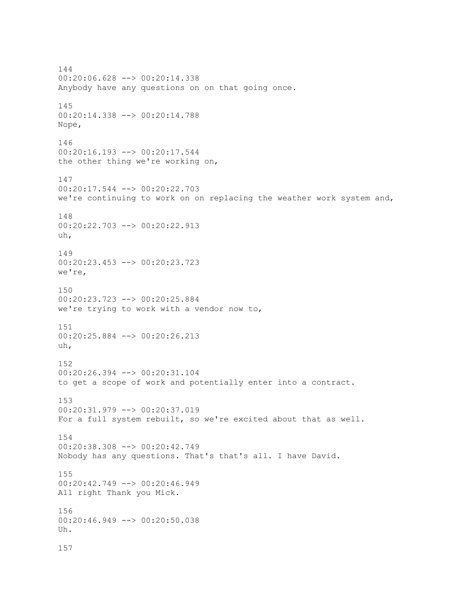144 00:20:06.628 --> 00:20:14.338 Anybody have any questions on on that going once. 145 00:20:14.338 --> 00:20:14.788 Nope, 146  $00:20:16.193$  -->  $00:20:17.544$ the other thing we're working on, 147 00:20:17.544 --> 00:20:22.703 we're continuing to work on on replacing the weather work system and, 148 00:20:22.703 --> 00:20:22.913 uh, 149 00:20:23.453 --> 00:20:23.723 we're, 150 00:20:23.723 --> 00:20:25.884 we're trying to work with a vendor now to, 151 00:20:25.884 --> 00:20:26.213 uh, 152 00:20:26.394 --> 00:20:31.104 to get a scope of work and potentially enter into a contract. 153 00:20:31.979 --> 00:20:37.019 For a full system rebuilt, so we're excited about that as well. 154 00:20:38.308 --> 00:20:42.749 Nobody has any questions. That's that's all. I have David. 155 00:20:42.749 --> 00:20:46.949 All right Thank you Mick. 156 00:20:46.949 --> 00:20:50.038 Uh. 157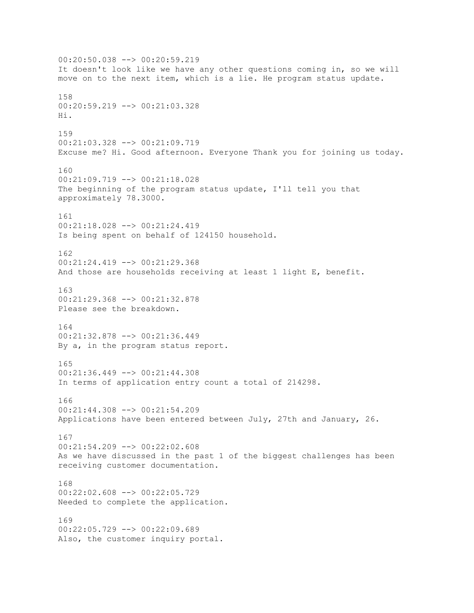00:20:50.038 --> 00:20:59.219 It doesn't look like we have any other questions coming in, so we will move on to the next item, which is a lie. He program status update. 158 00:20:59.219 --> 00:21:03.328 Hi. 159 00:21:03.328 --> 00:21:09.719 Excuse me? Hi. Good afternoon. Everyone Thank you for joining us today. 160 00:21:09.719 --> 00:21:18.028 The beginning of the program status update, I'll tell you that approximately 78.3000. 161 00:21:18.028 --> 00:21:24.419 Is being spent on behalf of 124150 household. 162 00:21:24.419 --> 00:21:29.368 And those are households receiving at least 1 light E, benefit. 163 00:21:29.368 --> 00:21:32.878 Please see the breakdown. 164 00:21:32.878 --> 00:21:36.449 By a, in the program status report. 165 00:21:36.449 --> 00:21:44.308 In terms of application entry count a total of 214298. 166 00:21:44.308 --> 00:21:54.209 Applications have been entered between July, 27th and January, 26. 167 00:21:54.209 --> 00:22:02.608 As we have discussed in the past 1 of the biggest challenges has been receiving customer documentation. 168 00:22:02.608 --> 00:22:05.729 Needed to complete the application. 169 00:22:05.729 --> 00:22:09.689 Also, the customer inquiry portal.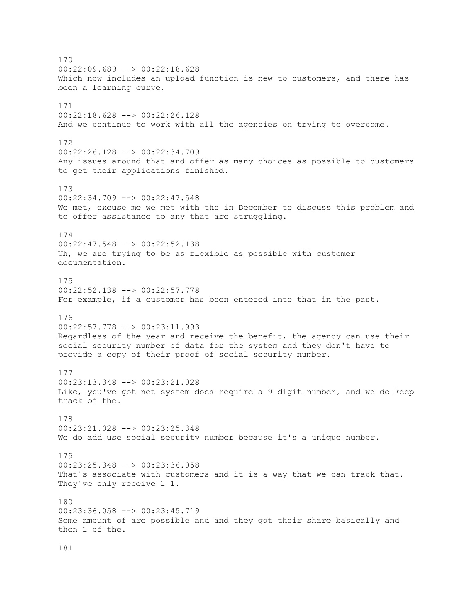170 00:22:09.689 --> 00:22:18.628 Which now includes an upload function is new to customers, and there has been a learning curve. 171 00:22:18.628 --> 00:22:26.128 And we continue to work with all the agencies on trying to overcome. 172  $00:22:26.128$  -->  $00:22:34.709$ Any issues around that and offer as many choices as possible to customers to get their applications finished. 173 00:22:34.709 --> 00:22:47.548 We met, excuse me we met with the in December to discuss this problem and to offer assistance to any that are struggling. 174 00:22:47.548 --> 00:22:52.138 Uh, we are trying to be as flexible as possible with customer documentation. 175 00:22:52.138 --> 00:22:57.778 For example, if a customer has been entered into that in the past. 176 00:22:57.778 --> 00:23:11.993 Regardless of the year and receive the benefit, the agency can use their social security number of data for the system and they don't have to provide a copy of their proof of social security number. 177 00:23:13.348 --> 00:23:21.028 Like, you've got net system does require a 9 digit number, and we do keep track of the. 178 00:23:21.028 --> 00:23:25.348 We do add use social security number because it's a unique number. 179 00:23:25.348 --> 00:23:36.058 That's associate with customers and it is a way that we can track that. They've only receive 1 1. 180 00:23:36.058 --> 00:23:45.719 Some amount of are possible and and they got their share basically and then 1 of the.

181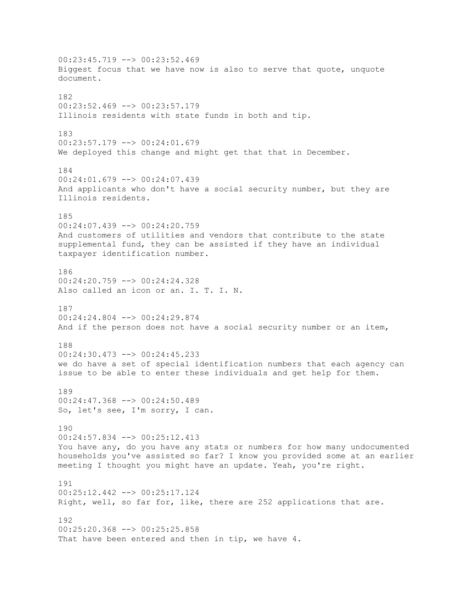00:23:45.719 --> 00:23:52.469 Biggest focus that we have now is also to serve that quote, unquote document. 182 00:23:52.469 --> 00:23:57.179 Illinois residents with state funds in both and tip. 183  $00:23:57.179$  -->  $00:24:01.679$ We deployed this change and might get that that in December. 184 00:24:01.679 --> 00:24:07.439 And applicants who don't have a social security number, but they are Illinois residents. 185 00:24:07.439 --> 00:24:20.759 And customers of utilities and vendors that contribute to the state supplemental fund, they can be assisted if they have an individual taxpayer identification number. 186  $00:24:20.759$  -->  $00:24:24.328$ Also called an icon or an. I. T. I. N. 187 00:24:24.804 --> 00:24:29.874 And if the person does not have a social security number or an item, 188  $00:24:30.473$  -->  $00:24:45.233$ we do have a set of special identification numbers that each agency can issue to be able to enter these individuals and get help for them. 189 00:24:47.368 --> 00:24:50.489 So, let's see, I'm sorry, I can. 190 00:24:57.834 --> 00:25:12.413 You have any, do you have any stats or numbers for how many undocumented households you've assisted so far? I know you provided some at an earlier meeting I thought you might have an update. Yeah, you're right. 191 00:25:12.442 --> 00:25:17.124 Right, well, so far for, like, there are 252 applications that are. 192 00:25:20.368 --> 00:25:25.858 That have been entered and then in tip, we have 4.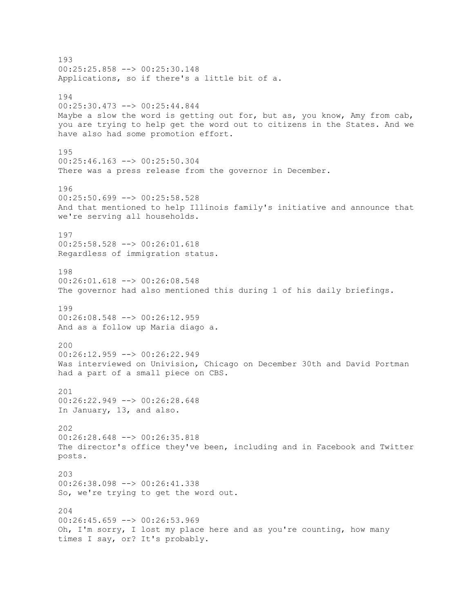193 00:25:25.858 --> 00:25:30.148 Applications, so if there's a little bit of a. 194 00:25:30.473 --> 00:25:44.844 Maybe a slow the word is getting out for, but as, you know, Amy from cab, you are trying to help get the word out to citizens in the States. And we have also had some promotion effort. 195 00:25:46.163 --> 00:25:50.304 There was a press release from the governor in December. 196 00:25:50.699 --> 00:25:58.528 And that mentioned to help Illinois family's initiative and announce that we're serving all households. 197 00:25:58.528 --> 00:26:01.618 Regardless of immigration status. 198 00:26:01.618 --> 00:26:08.548 The governor had also mentioned this during 1 of his daily briefings. 199 00:26:08.548 --> 00:26:12.959 And as a follow up Maria diago a. 200 00:26:12.959 --> 00:26:22.949 Was interviewed on Univision, Chicago on December 30th and David Portman had a part of a small piece on CBS. 201 00:26:22.949 --> 00:26:28.648 In January, 13, and also. 202 00:26:28.648 --> 00:26:35.818 The director's office they've been, including and in Facebook and Twitter posts. 203 00:26:38.098 --> 00:26:41.338 So, we're trying to get the word out. 204 00:26:45.659 --> 00:26:53.969 Oh, I'm sorry, I lost my place here and as you're counting, how many times I say, or? It's probably.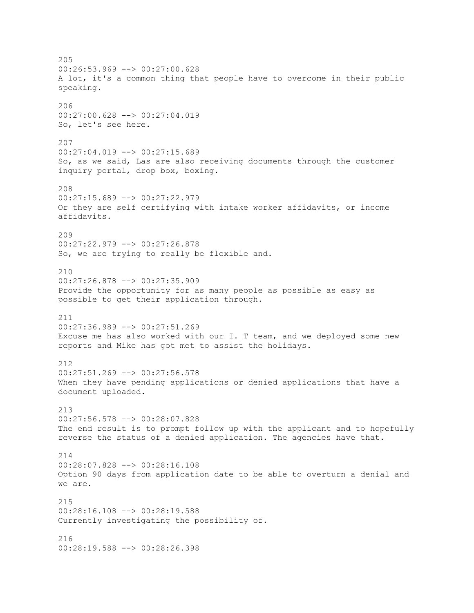205 00:26:53.969 --> 00:27:00.628 A lot, it's a common thing that people have to overcome in their public speaking. 206 00:27:00.628 --> 00:27:04.019 So, let's see here. 207  $00:27:04.019$  -->  $00:27:15.689$ So, as we said, Las are also receiving documents through the customer inquiry portal, drop box, boxing. 208 00:27:15.689 --> 00:27:22.979 Or they are self certifying with intake worker affidavits, or income affidavits. 209 00:27:22.979 --> 00:27:26.878 So, we are trying to really be flexible and. 210 00:27:26.878 --> 00:27:35.909 Provide the opportunity for as many people as possible as easy as possible to get their application through. 211 00:27:36.989 --> 00:27:51.269 Excuse me has also worked with our I. T team, and we deployed some new reports and Mike has got met to assist the holidays. 212 00:27:51.269 --> 00:27:56.578 When they have pending applications or denied applications that have a document uploaded. 213 00:27:56.578 --> 00:28:07.828 The end result is to prompt follow up with the applicant and to hopefully reverse the status of a denied application. The agencies have that. 214 00:28:07.828 --> 00:28:16.108 Option 90 days from application date to be able to overturn a denial and we are. 215 00:28:16.108 --> 00:28:19.588 Currently investigating the possibility of. 216  $00:28:19.588$   $\longrightarrow$   $00:28:26.398$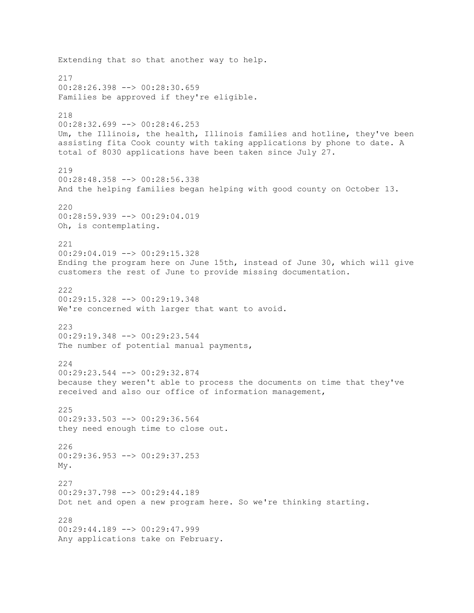Extending that so that another way to help. 217 00:28:26.398 --> 00:28:30.659 Families be approved if they're eligible. 218 00:28:32.699 --> 00:28:46.253 Um, the Illinois, the health, Illinois families and hotline, they've been assisting fita Cook county with taking applications by phone to date. A total of 8030 applications have been taken since July 27. 219 00:28:48.358 --> 00:28:56.338 And the helping families began helping with good county on October 13. 220 00:28:59.939 --> 00:29:04.019 Oh, is contemplating. 221 00:29:04.019 --> 00:29:15.328 Ending the program here on June 15th, instead of June 30, which will give customers the rest of June to provide missing documentation. 222 00:29:15.328 --> 00:29:19.348 We're concerned with larger that want to avoid. 223  $00:29:19.348$  -->  $00:29:23.544$ The number of potential manual payments, 224 00:29:23.544 --> 00:29:32.874 because they weren't able to process the documents on time that they've received and also our office of information management, 225 00:29:33.503 --> 00:29:36.564 they need enough time to close out. 226 00:29:36.953 --> 00:29:37.253 My. 227 00:29:37.798 --> 00:29:44.189 Dot net and open a new program here. So we're thinking starting. 228 00:29:44.189 --> 00:29:47.999 Any applications take on February.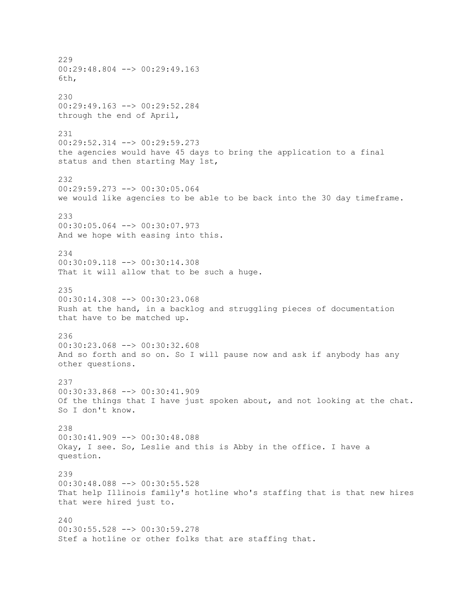229 00:29:48.804 --> 00:29:49.163 6th, 230 00:29:49.163 --> 00:29:52.284 through the end of April, 231  $00:29:52.314$  -->  $00:29:59.273$ the agencies would have 45 days to bring the application to a final status and then starting May 1st, 232 00:29:59.273 --> 00:30:05.064 we would like agencies to be able to be back into the 30 day timeframe. 233 00:30:05.064 --> 00:30:07.973 And we hope with easing into this. 234 00:30:09.118 --> 00:30:14.308 That it will allow that to be such a huge. 235 00:30:14.308 --> 00:30:23.068 Rush at the hand, in a backlog and struggling pieces of documentation that have to be matched up. 236 00:30:23.068 --> 00:30:32.608 And so forth and so on. So I will pause now and ask if anybody has any other questions. 237 00:30:33.868 --> 00:30:41.909 Of the things that I have just spoken about, and not looking at the chat. So I don't know. 238 00:30:41.909 --> 00:30:48.088 Okay, I see. So, Leslie and this is Abby in the office. I have a question. 239 00:30:48.088 --> 00:30:55.528 That help Illinois family's hotline who's staffing that is that new hires that were hired just to. 240 00:30:55.528 --> 00:30:59.278 Stef a hotline or other folks that are staffing that.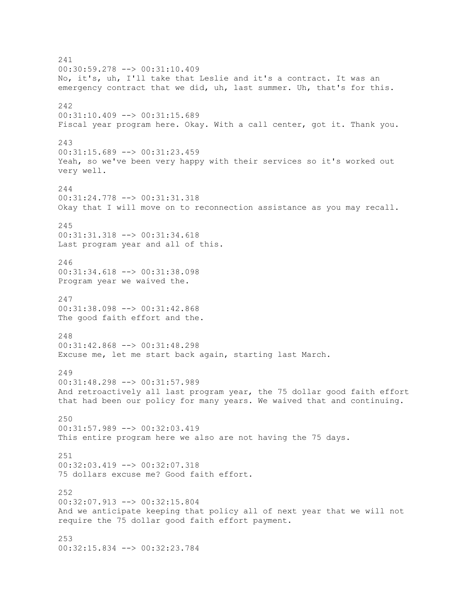241 00:30:59.278 --> 00:31:10.409 No, it's, uh, I'll take that Leslie and it's a contract. It was an emergency contract that we did, uh, last summer. Uh, that's for this. 242 00:31:10.409 --> 00:31:15.689 Fiscal year program here. Okay. With a call center, got it. Thank you. 243  $00:31:15.689$  -->  $00:31:23.459$ Yeah, so we've been very happy with their services so it's worked out very well. 244 00:31:24.778 --> 00:31:31.318 Okay that I will move on to reconnection assistance as you may recall. 245 00:31:31.318 --> 00:31:34.618 Last program year and all of this. 246 00:31:34.618 --> 00:31:38.098 Program year we waived the. 247 00:31:38.098 --> 00:31:42.868 The good faith effort and the. 248 00:31:42.868 --> 00:31:48.298 Excuse me, let me start back again, starting last March. 249 00:31:48.298 --> 00:31:57.989 And retroactively all last program year, the 75 dollar good faith effort that had been our policy for many years. We waived that and continuing. 250 00:31:57.989 --> 00:32:03.419 This entire program here we also are not having the 75 days. 251 00:32:03.419 --> 00:32:07.318 75 dollars excuse me? Good faith effort. 252 00:32:07.913 --> 00:32:15.804 And we anticipate keeping that policy all of next year that we will not require the 75 dollar good faith effort payment. 253 00:32:15.834 --> 00:32:23.784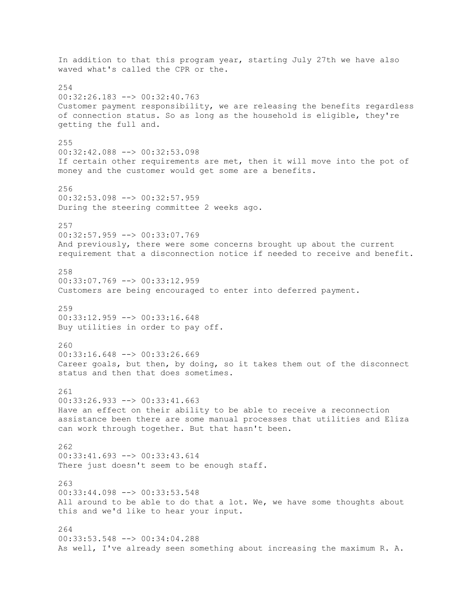In addition to that this program year, starting July 27th we have also waved what's called the CPR or the. 254 00:32:26.183 --> 00:32:40.763 Customer payment responsibility, we are releasing the benefits regardless of connection status. So as long as the household is eligible, they're getting the full and. 255 00:32:42.088 --> 00:32:53.098 If certain other requirements are met, then it will move into the pot of money and the customer would get some are a benefits. 256 00:32:53.098 --> 00:32:57.959 During the steering committee 2 weeks ago. 257 00:32:57.959 --> 00:33:07.769 And previously, there were some concerns brought up about the current requirement that a disconnection notice if needed to receive and benefit. 258 00:33:07.769 --> 00:33:12.959 Customers are being encouraged to enter into deferred payment. 259 00:33:12.959 --> 00:33:16.648 Buy utilities in order to pay off. 260 00:33:16.648 --> 00:33:26.669 Career goals, but then, by doing, so it takes them out of the disconnect status and then that does sometimes. 261 00:33:26.933 --> 00:33:41.663 Have an effect on their ability to be able to receive a reconnection assistance been there are some manual processes that utilities and Eliza can work through together. But that hasn't been. 262 00:33:41.693 --> 00:33:43.614 There just doesn't seem to be enough staff. 263 00:33:44.098 --> 00:33:53.548 All around to be able to do that a lot. We, we have some thoughts about this and we'd like to hear your input. 264 00:33:53.548 --> 00:34:04.288 As well, I've already seen something about increasing the maximum R. A.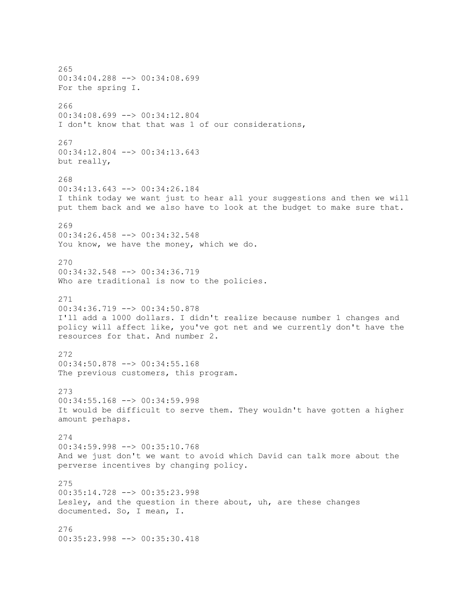265 00:34:04.288 --> 00:34:08.699 For the spring I. 266 00:34:08.699 --> 00:34:12.804 I don't know that that was 1 of our considerations, 267 00:34:12.804 --> 00:34:13.643 but really, 268 00:34:13.643 --> 00:34:26.184 I think today we want just to hear all your suggestions and then we will put them back and we also have to look at the budget to make sure that. 269 00:34:26.458 --> 00:34:32.548 You know, we have the money, which we do. 270 00:34:32.548 --> 00:34:36.719 Who are traditional is now to the policies. 271 00:34:36.719 --> 00:34:50.878 I'll add a 1000 dollars. I didn't realize because number 1 changes and policy will affect like, you've got net and we currently don't have the resources for that. And number 2. 272 00:34:50.878 --> 00:34:55.168 The previous customers, this program. 273 00:34:55.168 --> 00:34:59.998 It would be difficult to serve them. They wouldn't have gotten a higher amount perhaps. 274 00:34:59.998 --> 00:35:10.768 And we just don't we want to avoid which David can talk more about the perverse incentives by changing policy. 275 00:35:14.728 --> 00:35:23.998 Lesley, and the question in there about, uh, are these changes documented. So, I mean, I. 276 00:35:23.998 --> 00:35:30.418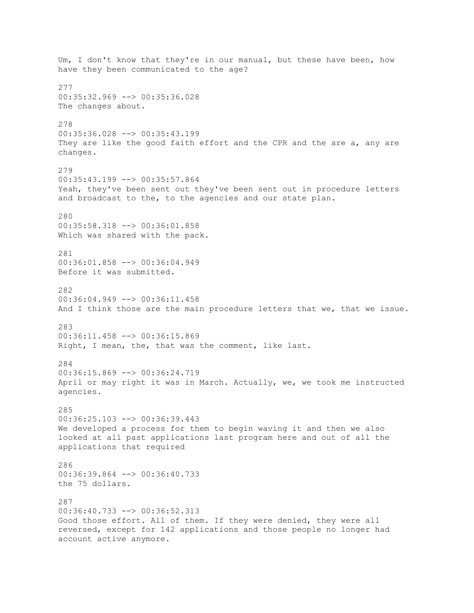Um, I don't know that they're in our manual, but these have been, how have they been communicated to the age? 277 00:35:32.969 --> 00:35:36.028 The changes about. 278 00:35:36.028 --> 00:35:43.199 They are like the good faith effort and the CPR and the are a, any are changes. 279 00:35:43.199 --> 00:35:57.864 Yeah, they've been sent out they've been sent out in procedure letters and broadcast to the, to the agencies and our state plan. 280 00:35:58.318 --> 00:36:01.858 Which was shared with the pack. 281 00:36:01.858 --> 00:36:04.949 Before it was submitted. 282 00:36:04.949 --> 00:36:11.458 And I think those are the main procedure letters that we, that we issue. 283 00:36:11.458 --> 00:36:15.869 Right, I mean, the, that was the comment, like last. 284 00:36:15.869 --> 00:36:24.719 April or may right it was in March. Actually, we, we took me instructed agencies. 285 00:36:25.103 --> 00:36:39.443 We developed a process for them to begin waving it and then we also looked at all past applications last program here and out of all the applications that required 286  $00:36:39.864$  -->  $00:36:40.733$ the 75 dollars. 287 00:36:40.733 --> 00:36:52.313 Good those effort. All of them. If they were denied, they were all reversed, except for 142 applications and those people no longer had account active anymore.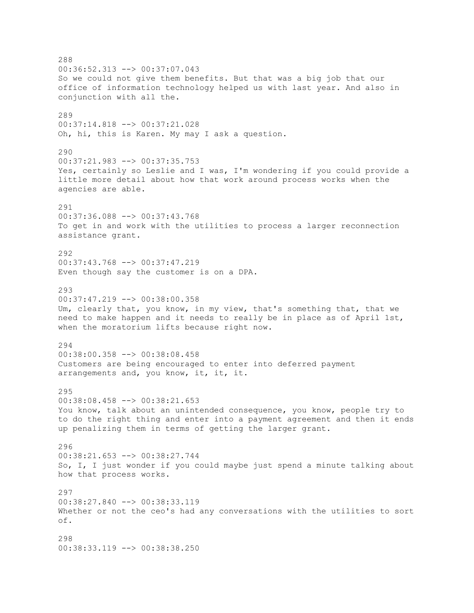288 00:36:52.313 --> 00:37:07.043 So we could not give them benefits. But that was a big job that our office of information technology helped us with last year. And also in conjunction with all the. 289 00:37:14.818 --> 00:37:21.028 Oh, hi, this is Karen. My may I ask a question. 290 00:37:21.983 --> 00:37:35.753 Yes, certainly so Leslie and I was, I'm wondering if you could provide a little more detail about how that work around process works when the agencies are able. 291 00:37:36.088 --> 00:37:43.768 To get in and work with the utilities to process a larger reconnection assistance grant. 292 00:37:43.768 --> 00:37:47.219 Even though say the customer is on a DPA. 293 00:37:47.219 --> 00:38:00.358 Um, clearly that, you know, in my view, that's something that, that we need to make happen and it needs to really be in place as of April 1st, when the moratorium lifts because right now. 294 00:38:00.358 --> 00:38:08.458 Customers are being encouraged to enter into deferred payment arrangements and, you know, it, it, it. 295 00:38:08.458 --> 00:38:21.653 You know, talk about an unintended consequence, you know, people try to to do the right thing and enter into a payment agreement and then it ends up penalizing them in terms of getting the larger grant. 296 00:38:21.653 --> 00:38:27.744 So, I, I just wonder if you could maybe just spend a minute talking about how that process works. 297 00:38:27.840 --> 00:38:33.119 Whether or not the ceo's had any conversations with the utilities to sort of. 298 00:38:33.119 --> 00:38:38.250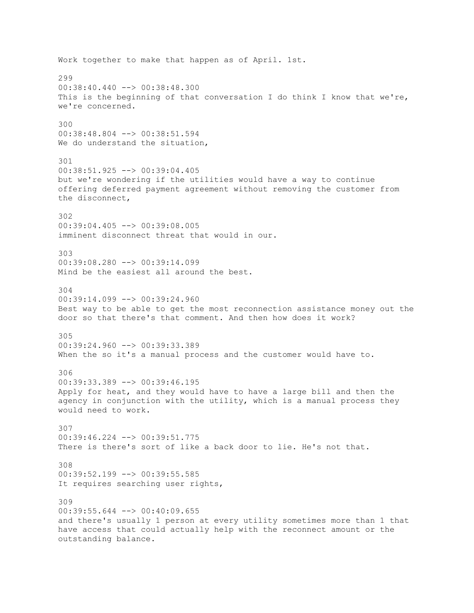Work together to make that happen as of April. 1st. 299  $00:38:40.440$   $\rightarrow$  00:38:48.300 This is the beginning of that conversation I do think I know that we're, we're concerned. 300 00:38:48.804 --> 00:38:51.594 We do understand the situation, 301 00:38:51.925 --> 00:39:04.405 but we're wondering if the utilities would have a way to continue offering deferred payment agreement without removing the customer from the disconnect, 302 00:39:04.405 --> 00:39:08.005 imminent disconnect threat that would in our. 303 00:39:08.280 --> 00:39:14.099 Mind be the easiest all around the best. 304 00:39:14.099 --> 00:39:24.960 Best way to be able to get the most reconnection assistance money out the door so that there's that comment. And then how does it work? 305 00:39:24.960 --> 00:39:33.389 When the so it's a manual process and the customer would have to. 306 00:39:33.389 --> 00:39:46.195 Apply for heat, and they would have to have a large bill and then the agency in conjunction with the utility, which is a manual process they would need to work. 307 00:39:46.224 --> 00:39:51.775 There is there's sort of like a back door to lie. He's not that. 308 00:39:52.199 --> 00:39:55.585 It requires searching user rights, 309 00:39:55.644 --> 00:40:09.655 and there's usually 1 person at every utility sometimes more than 1 that have access that could actually help with the reconnect amount or the outstanding balance.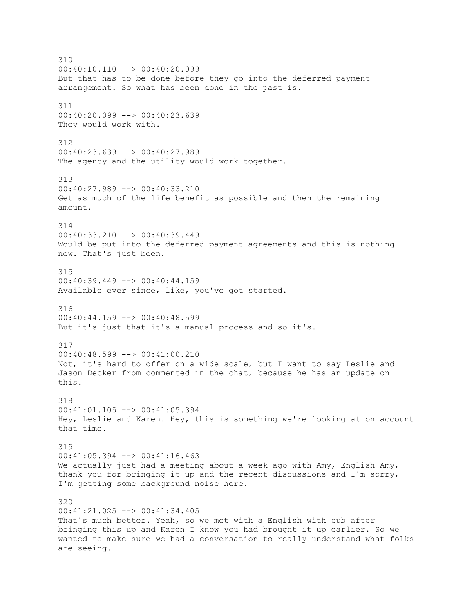310 00:40:10.110 --> 00:40:20.099 But that has to be done before they go into the deferred payment arrangement. So what has been done in the past is. 311 00:40:20.099 --> 00:40:23.639 They would work with. 312  $00:40:23.639$  -->  $00:40:27.989$ The agency and the utility would work together. 313 00:40:27.989 --> 00:40:33.210 Get as much of the life benefit as possible and then the remaining amount. 314 00:40:33.210 --> 00:40:39.449 Would be put into the deferred payment agreements and this is nothing new. That's just been. 315  $00:40:39.449$  -->  $00:40:44.159$ Available ever since, like, you've got started. 316 00:40:44.159 --> 00:40:48.599 But it's just that it's a manual process and so it's. 317 00:40:48.599 --> 00:41:00.210 Not, it's hard to offer on a wide scale, but I want to say Leslie and Jason Decker from commented in the chat, because he has an update on this. 318 00:41:01.105 --> 00:41:05.394 Hey, Leslie and Karen. Hey, this is something we're looking at on account that time. 319 00:41:05.394 --> 00:41:16.463 We actually just had a meeting about a week ago with Amy, English Amy, thank you for bringing it up and the recent discussions and I'm sorry, I'm getting some background noise here. 320 00:41:21.025 --> 00:41:34.405 That's much better. Yeah, so we met with a English with cub after bringing this up and Karen I know you had brought it up earlier. So we wanted to make sure we had a conversation to really understand what folks are seeing.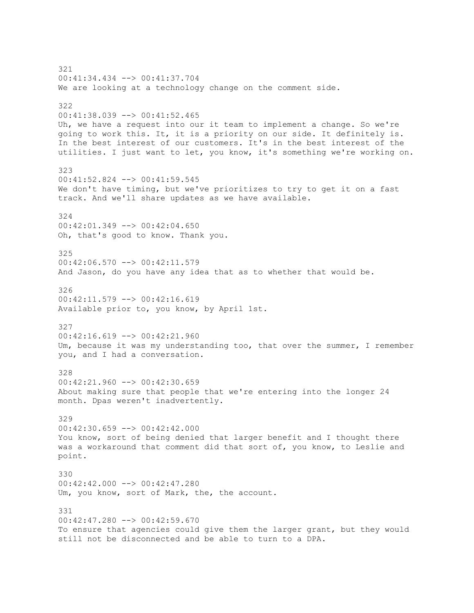321 00:41:34.434 --> 00:41:37.704 We are looking at a technology change on the comment side. 322 00:41:38.039 --> 00:41:52.465 Uh, we have a request into our it team to implement a change. So we're going to work this. It, it is a priority on our side. It definitely is. In the best interest of our customers. It's in the best interest of the utilities. I just want to let, you know, it's something we're working on. 323 00:41:52.824 --> 00:41:59.545 We don't have timing, but we've prioritizes to try to get it on a fast track. And we'll share updates as we have available. 324 00:42:01.349 --> 00:42:04.650 Oh, that's good to know. Thank you. 325 00:42:06.570 --> 00:42:11.579 And Jason, do you have any idea that as to whether that would be. 326  $00:42:11.579$  -->  $00:42:16.619$ Available prior to, you know, by April 1st. 327 00:42:16.619 --> 00:42:21.960 Um, because it was my understanding too, that over the summer, I remember you, and I had a conversation. 328 00:42:21.960 --> 00:42:30.659 About making sure that people that we're entering into the longer 24 month. Dpas weren't inadvertently. 329 00:42:30.659 --> 00:42:42.000 You know, sort of being denied that larger benefit and I thought there was a workaround that comment did that sort of, you know, to Leslie and point. 330 00:42:42.000 --> 00:42:47.280 Um, you know, sort of Mark, the, the account. 331 00:42:47.280 --> 00:42:59.670 To ensure that agencies could give them the larger grant, but they would still not be disconnected and be able to turn to a DPA.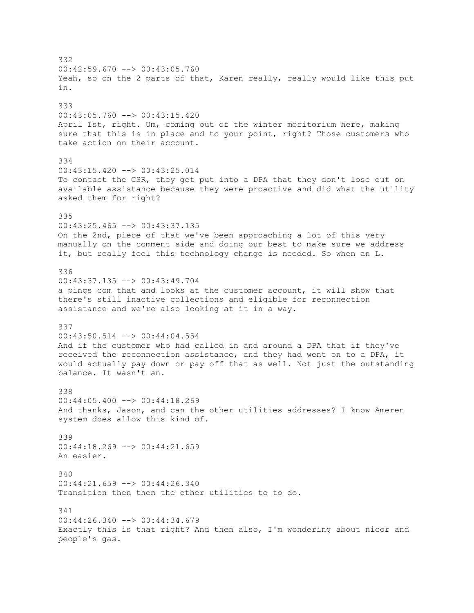332 00:42:59.670 --> 00:43:05.760 Yeah, so on the 2 parts of that, Karen really, really would like this put in. 333 00:43:05.760 --> 00:43:15.420 April 1st, right. Um, coming out of the winter moritorium here, making sure that this is in place and to your point, right? Those customers who take action on their account. 334 00:43:15.420 --> 00:43:25.014 To contact the CSR, they get put into a DPA that they don't lose out on available assistance because they were proactive and did what the utility asked them for right? 335 00:43:25.465 --> 00:43:37.135 On the 2nd, piece of that we've been approaching a lot of this very manually on the comment side and doing our best to make sure we address it, but really feel this technology change is needed. So when an L. 336 00:43:37.135 --> 00:43:49.704 a pings com that and looks at the customer account, it will show that there's still inactive collections and eligible for reconnection assistance and we're also looking at it in a way. 337 00:43:50.514 --> 00:44:04.554 And if the customer who had called in and around a DPA that if they've received the reconnection assistance, and they had went on to a DPA, it would actually pay down or pay off that as well. Not just the outstanding balance. It wasn't an. 338 00:44:05.400 --> 00:44:18.269 And thanks, Jason, and can the other utilities addresses? I know Ameren system does allow this kind of. 339 00:44:18.269 --> 00:44:21.659 An easier. 340 00:44:21.659 --> 00:44:26.340 Transition then then the other utilities to to do. 341 00:44:26.340 --> 00:44:34.679 Exactly this is that right? And then also, I'm wondering about nicor and people's gas.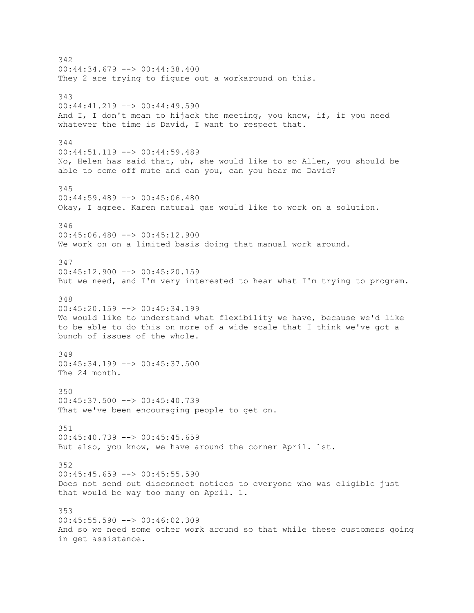342 00:44:34.679 --> 00:44:38.400 They 2 are trying to figure out a workaround on this. 343 00:44:41.219 --> 00:44:49.590 And I, I don't mean to hijack the meeting, you know, if, if you need whatever the time is David, I want to respect that. 344  $00:44:51.119$  -->  $00:44:59.489$ No, Helen has said that, uh, she would like to so Allen, you should be able to come off mute and can you, can you hear me David? 345 00:44:59.489 --> 00:45:06.480 Okay, I agree. Karen natural gas would like to work on a solution. 346 00:45:06.480 --> 00:45:12.900 We work on on a limited basis doing that manual work around. 347 00:45:12.900 --> 00:45:20.159 But we need, and I'm very interested to hear what I'm trying to program. 348 00:45:20.159 --> 00:45:34.199 We would like to understand what flexibility we have, because we'd like to be able to do this on more of a wide scale that I think we've got a bunch of issues of the whole. 349 00:45:34.199 --> 00:45:37.500 The 24 month. 350 00:45:37.500 --> 00:45:40.739 That we've been encouraging people to get on. 351 00:45:40.739 --> 00:45:45.659 But also, you know, we have around the corner April. 1st. 352  $00:45:45.659$  -->  $00:45:55.590$ Does not send out disconnect notices to everyone who was eligible just that would be way too many on April. 1. 353 00:45:55.590 --> 00:46:02.309 And so we need some other work around so that while these customers going in get assistance.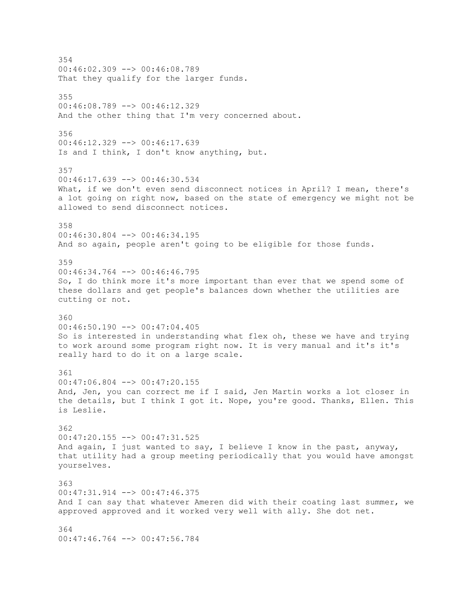354 00:46:02.309 --> 00:46:08.789 That they qualify for the larger funds. 355 00:46:08.789 --> 00:46:12.329 And the other thing that I'm very concerned about. 356 00:46:12.329 --> 00:46:17.639 Is and I think, I don't know anything, but. 357 00:46:17.639 --> 00:46:30.534 What, if we don't even send disconnect notices in April? I mean, there's a lot going on right now, based on the state of emergency we might not be allowed to send disconnect notices. 358 00:46:30.804 --> 00:46:34.195 And so again, people aren't going to be eligible for those funds. 359 00:46:34.764 --> 00:46:46.795 So, I do think more it's more important than ever that we spend some of these dollars and get people's balances down whether the utilities are cutting or not. 360 00:46:50.190 --> 00:47:04.405 So is interested in understanding what flex oh, these we have and trying to work around some program right now. It is very manual and it's it's really hard to do it on a large scale. 361  $00:47:06.804$  -->  $00:47:20.155$ And, Jen, you can correct me if I said, Jen Martin works a lot closer in the details, but I think I got it. Nope, you're good. Thanks, Ellen. This is Leslie. 362 00:47:20.155 --> 00:47:31.525 And again, I just wanted to say, I believe I know in the past, anyway, that utility had a group meeting periodically that you would have amongst yourselves. 363 00:47:31.914 --> 00:47:46.375 And I can say that whatever Ameren did with their coating last summer, we approved approved and it worked very well with ally. She dot net. 364  $00:47:46.764$  -->  $00:47:56.784$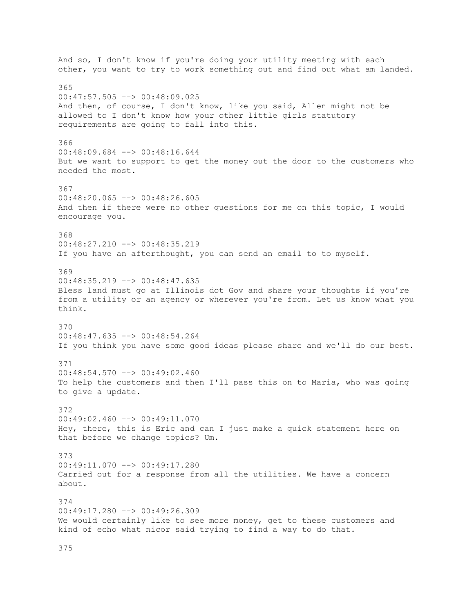And so, I don't know if you're doing your utility meeting with each other, you want to try to work something out and find out what am landed. 365 00:47:57.505 --> 00:48:09.025 And then, of course, I don't know, like you said, Allen might not be allowed to I don't know how your other little girls statutory requirements are going to fall into this. 366 00:48:09.684 --> 00:48:16.644 But we want to support to get the money out the door to the customers who needed the most. 367 00:48:20.065 --> 00:48:26.605 And then if there were no other questions for me on this topic, I would encourage you. 368 00:48:27.210 --> 00:48:35.219 If you have an afterthought, you can send an email to to myself. 369  $00:48:35.219$  -->  $00:48:47.635$ Bless land must go at Illinois dot Gov and share your thoughts if you're from a utility or an agency or wherever you're from. Let us know what you think. 370 00:48:47.635 --> 00:48:54.264 If you think you have some good ideas please share and we'll do our best. 371 00:48:54.570 --> 00:49:02.460 To help the customers and then I'll pass this on to Maria, who was going to give a update. 372 00:49:02.460 --> 00:49:11.070 Hey, there, this is Eric and can I just make a quick statement here on that before we change topics? Um. 373 00:49:11.070 --> 00:49:17.280 Carried out for a response from all the utilities. We have a concern about. 374 00:49:17.280 --> 00:49:26.309 We would certainly like to see more money, get to these customers and kind of echo what nicor said trying to find a way to do that.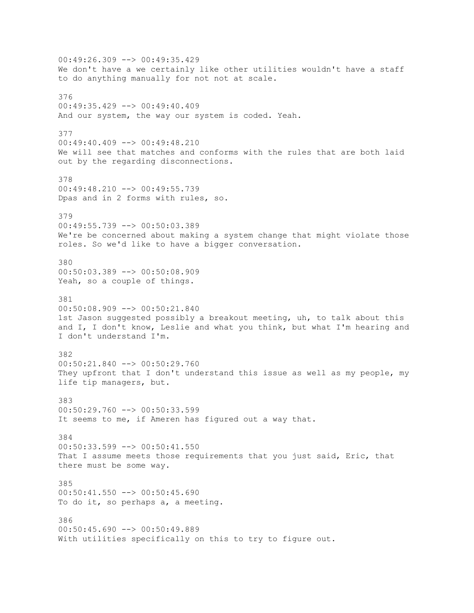00:49:26.309 --> 00:49:35.429 We don't have a we certainly like other utilities wouldn't have a staff to do anything manually for not not at scale. 376 00:49:35.429 --> 00:49:40.409 And our system, the way our system is coded. Yeah. 377  $00:49:40.409$  -->  $00:49:48.210$ We will see that matches and conforms with the rules that are both laid out by the regarding disconnections. 378 00:49:48.210 --> 00:49:55.739 Dpas and in 2 forms with rules, so. 379 00:49:55.739 --> 00:50:03.389 We're be concerned about making a system change that might violate those roles. So we'd like to have a bigger conversation. 380 00:50:03.389 --> 00:50:08.909 Yeah, so a couple of things. 381 00:50:08.909 --> 00:50:21.840 1st Jason suggested possibly a breakout meeting, uh, to talk about this and I, I don't know, Leslie and what you think, but what I'm hearing and I don't understand I'm. 382 00:50:21.840 --> 00:50:29.760 They upfront that I don't understand this issue as well as my people, my life tip managers, but. 383 00:50:29.760 --> 00:50:33.599 It seems to me, if Ameren has figured out a way that. 384 00:50:33.599 --> 00:50:41.550 That I assume meets those requirements that you just said, Eric, that there must be some way. 385 00:50:41.550 --> 00:50:45.690 To do it, so perhaps a, a meeting. 386 00:50:45.690 --> 00:50:49.889 With utilities specifically on this to try to figure out.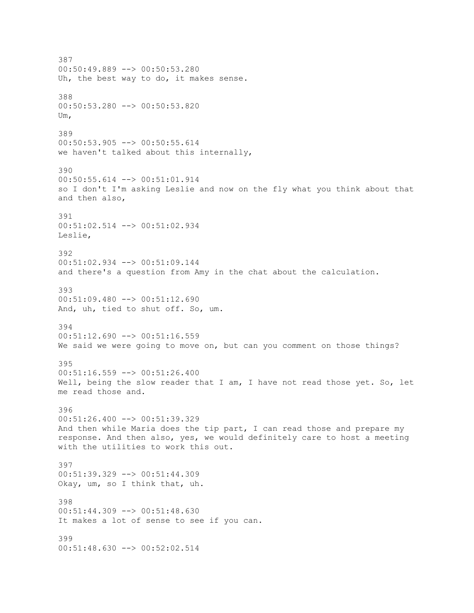387 00:50:49.889 --> 00:50:53.280 Uh, the best way to do, it makes sense. 388 00:50:53.280 --> 00:50:53.820 Um, 389 00:50:53.905 --> 00:50:55.614 we haven't talked about this internally, 390 00:50:55.614 --> 00:51:01.914 so I don't I'm asking Leslie and now on the fly what you think about that and then also, 391 00:51:02.514 --> 00:51:02.934 Leslie, 392 00:51:02.934 --> 00:51:09.144 and there's a question from Amy in the chat about the calculation. 393 00:51:09.480 --> 00:51:12.690 And, uh, tied to shut off. So, um. 394 00:51:12.690 --> 00:51:16.559 We said we were going to move on, but can you comment on those things? 395 00:51:16.559 --> 00:51:26.400 Well, being the slow reader that I am, I have not read those yet. So, let me read those and. 396  $00:51:26.400$  -->  $00:51:39.329$ And then while Maria does the tip part, I can read those and prepare my response. And then also, yes, we would definitely care to host a meeting with the utilities to work this out. 397 00:51:39.329 --> 00:51:44.309 Okay, um, so I think that, uh. 398 00:51:44.309 --> 00:51:48.630 It makes a lot of sense to see if you can. 399 00:51:48.630 --> 00:52:02.514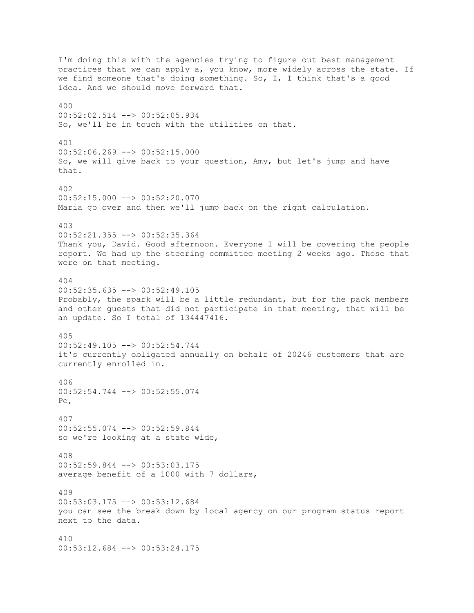I'm doing this with the agencies trying to figure out best management practices that we can apply a, you know, more widely across the state. If we find someone that's doing something. So, I, I think that's a good idea. And we should move forward that. 400 00:52:02.514 --> 00:52:05.934 So, we'll be in touch with the utilities on that. 401  $00:52:06.269$  -->  $00:52:15.000$ So, we will give back to your question, Amy, but let's jump and have that. 402 00:52:15.000 --> 00:52:20.070 Maria go over and then we'll jump back on the right calculation. 403 00:52:21.355 --> 00:52:35.364 Thank you, David. Good afternoon. Everyone I will be covering the people report. We had up the steering committee meeting 2 weeks ago. Those that were on that meeting. 404 00:52:35.635 --> 00:52:49.105 Probably, the spark will be a little redundant, but for the pack members and other guests that did not participate in that meeting, that will be an update. So I total of 134447416. 405 00:52:49.105 --> 00:52:54.744 it's currently obligated annually on behalf of 20246 customers that are currently enrolled in. 406 00:52:54.744 --> 00:52:55.074 Pe, 407 00:52:55.074 --> 00:52:59.844 so we're looking at a state wide, 408 00:52:59.844 --> 00:53:03.175 average benefit of a 1000 with 7 dollars, 409 00:53:03.175 --> 00:53:12.684 you can see the break down by local agency on our program status report next to the data. 410 00:53:12.684 --> 00:53:24.175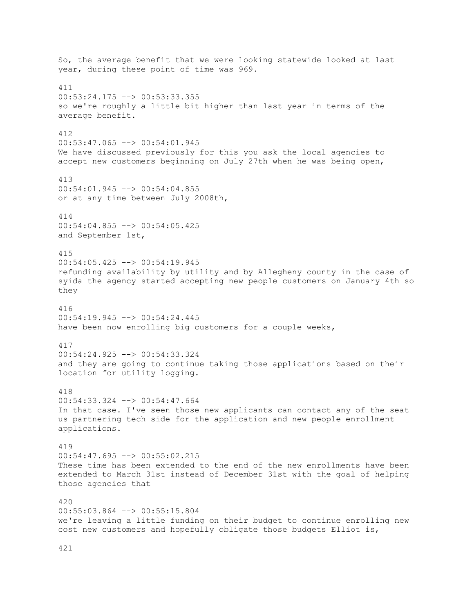So, the average benefit that we were looking statewide looked at last year, during these point of time was 969. 411 00:53:24.175 --> 00:53:33.355 so we're roughly a little bit higher than last year in terms of the average benefit. 412  $00:53:47.065$  -->  $00:54:01.945$ We have discussed previously for this you ask the local agencies to accept new customers beginning on July 27th when he was being open, 413 00:54:01.945 --> 00:54:04.855 or at any time between July 2008th, 414 00:54:04.855 --> 00:54:05.425 and September 1st, 415 00:54:05.425 --> 00:54:19.945 refunding availability by utility and by Allegheny county in the case of syida the agency started accepting new people customers on January 4th so they 416 00:54:19.945 --> 00:54:24.445 have been now enrolling big customers for a couple weeks, 417 00:54:24.925 --> 00:54:33.324 and they are going to continue taking those applications based on their location for utility logging. 418 00:54:33.324 --> 00:54:47.664 In that case. I've seen those new applicants can contact any of the seat us partnering tech side for the application and new people enrollment applications. 419 00:54:47.695 --> 00:55:02.215 These time has been extended to the end of the new enrollments have been extended to March 31st instead of December 31st with the goal of helping those agencies that 420 00:55:03.864 --> 00:55:15.804 we're leaving a little funding on their budget to continue enrolling new cost new customers and hopefully obligate those budgets Elliot is,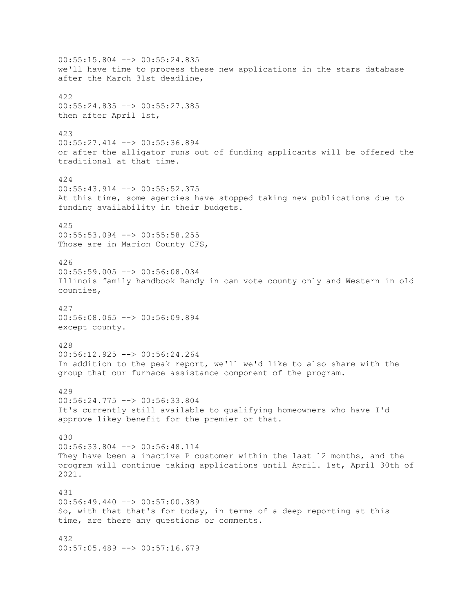00:55:15.804 --> 00:55:24.835 we'll have time to process these new applications in the stars database after the March 31st deadline, 422 00:55:24.835 --> 00:55:27.385 then after April 1st, 423 00:55:27.414 --> 00:55:36.894 or after the alligator runs out of funding applicants will be offered the traditional at that time. 424 00:55:43.914 --> 00:55:52.375 At this time, some agencies have stopped taking new publications due to funding availability in their budgets. 425 00:55:53.094 --> 00:55:58.255 Those are in Marion County CFS, 426 00:55:59.005 --> 00:56:08.034 Illinois family handbook Randy in can vote county only and Western in old counties, 427 00:56:08.065 --> 00:56:09.894 except county. 428 00:56:12.925 --> 00:56:24.264 In addition to the peak report, we'll we'd like to also share with the group that our furnace assistance component of the program. 429 00:56:24.775 --> 00:56:33.804 It's currently still available to qualifying homeowners who have I'd approve likey benefit for the premier or that. 430 00:56:33.804 --> 00:56:48.114 They have been a inactive P customer within the last 12 months, and the program will continue taking applications until April. 1st, April 30th of 2021. 431 00:56:49.440 --> 00:57:00.389 So, with that that's for today, in terms of a deep reporting at this time, are there any questions or comments. 432  $00:57:05.489$  -->  $00:57:16.679$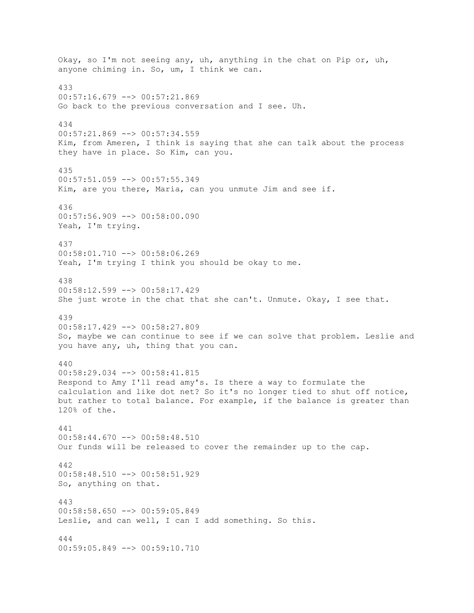Okay, so I'm not seeing any, uh, anything in the chat on Pip or, uh, anyone chiming in. So, um, I think we can. 433 00:57:16.679 --> 00:57:21.869 Go back to the previous conversation and I see. Uh. 434 00:57:21.869 --> 00:57:34.559 Kim, from Ameren, I think is saying that she can talk about the process they have in place. So Kim, can you. 435 00:57:51.059 --> 00:57:55.349 Kim, are you there, Maria, can you unmute Jim and see if. 436  $00:57:56.909$  -->  $00:58:00.090$ Yeah, I'm trying. 437 00:58:01.710 --> 00:58:06.269 Yeah, I'm trying I think you should be okay to me. 438 00:58:12.599 --> 00:58:17.429 She just wrote in the chat that she can't. Unmute. Okay, I see that. 439 00:58:17.429 --> 00:58:27.809 So, maybe we can continue to see if we can solve that problem. Leslie and you have any, uh, thing that you can. 440 00:58:29.034 --> 00:58:41.815 Respond to Amy I'll read amy's. Is there a way to formulate the calculation and like dot net? So it's no longer tied to shut off notice, but rather to total balance. For example, if the balance is greater than 120% of the. 441 00:58:44.670 --> 00:58:48.510 Our funds will be released to cover the remainder up to the cap. 442  $00:58:48.510$   $\rightarrow$   $00:58:51.929$ So, anything on that. 443 00:58:58.650 --> 00:59:05.849 Leslie, and can well, I can I add something. So this. 444 00:59:05.849 --> 00:59:10.710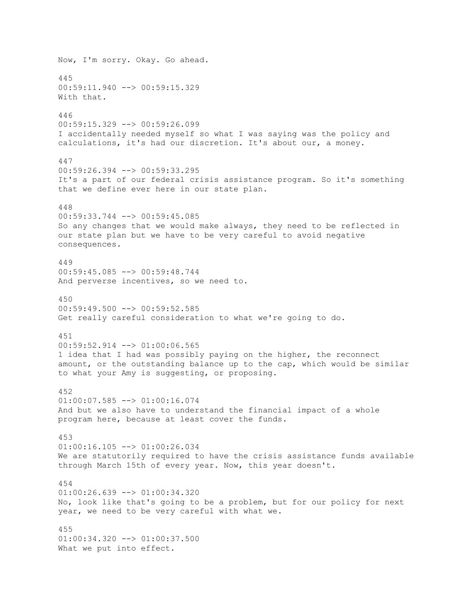Now, I'm sorry. Okay. Go ahead. 445 00:59:11.940 --> 00:59:15.329 With that. 446 00:59:15.329 --> 00:59:26.099 I accidentally needed myself so what I was saying was the policy and calculations, it's had our discretion. It's about our, a money. 447 00:59:26.394 --> 00:59:33.295 It's a part of our federal crisis assistance program. So it's something that we define ever here in our state plan. 448  $00:59:33.744$  -->  $00:59:45.085$ So any changes that we would make always, they need to be reflected in our state plan but we have to be very careful to avoid negative consequences. 449 00:59:45.085 --> 00:59:48.744 And perverse incentives, so we need to. 450  $00:59:49.500$  -->  $00:59:52.585$ Get really careful consideration to what we're going to do. 451 00:59:52.914 --> 01:00:06.565 1 idea that I had was possibly paying on the higher, the reconnect amount, or the outstanding balance up to the cap, which would be similar to what your Amy is suggesting, or proposing. 452 01:00:07.585 --> 01:00:16.074 And but we also have to understand the financial impact of a whole program here, because at least cover the funds. 453  $01:00:16.105$  -->  $01:00:26.034$ We are statutorily required to have the crisis assistance funds available through March 15th of every year. Now, this year doesn't. 454  $01:00:26.639$  -->  $01:00:34.320$ No, look like that's going to be a problem, but for our policy for next year, we need to be very careful with what we. 455  $01:00:34.320$  -->  $01:00:37.500$ What we put into effect.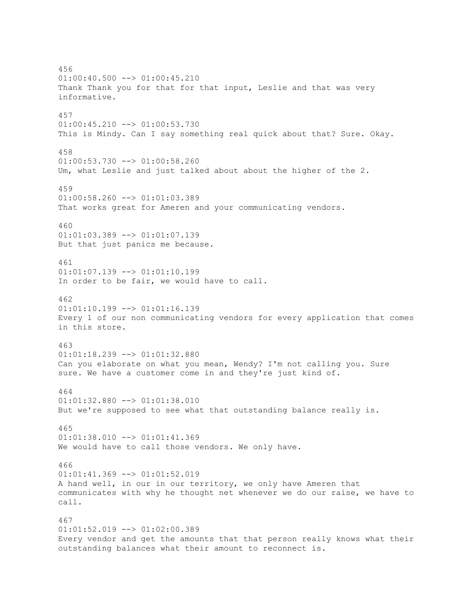456  $01:00:40.500$  -->  $01:00:45.210$ Thank Thank you for that for that input, Leslie and that was very informative. 457 01:00:45.210 --> 01:00:53.730 This is Mindy. Can I say something real quick about that? Sure. Okay. 458 01:00:53.730 --> 01:00:58.260 Um, what Leslie and just talked about about the higher of the 2. 459  $01:00:58.260$  -->  $01:01:03.389$ That works great for Ameren and your communicating vendors. 460 01:01:03.389 --> 01:01:07.139 But that just panics me because. 461 01:01:07.139 --> 01:01:10.199 In order to be fair, we would have to call. 462 01:01:10.199 --> 01:01:16.139 Every 1 of our non communicating vendors for every application that comes in this store. 463 01:01:18.239 --> 01:01:32.880 Can you elaborate on what you mean, Wendy? I'm not calling you. Sure sure. We have a customer come in and they're just kind of. 464 01:01:32.880 --> 01:01:38.010 But we're supposed to see what that outstanding balance really is. 465 01:01:38.010 --> 01:01:41.369 We would have to call those vendors. We only have. 466  $01:01:41.369$  -->  $01:01:52.019$ A hand well, in our in our territory, we only have Ameren that communicates with why he thought net whenever we do our raise, we have to call. 467 01:01:52.019 --> 01:02:00.389 Every vendor and get the amounts that that person really knows what their outstanding balances what their amount to reconnect is.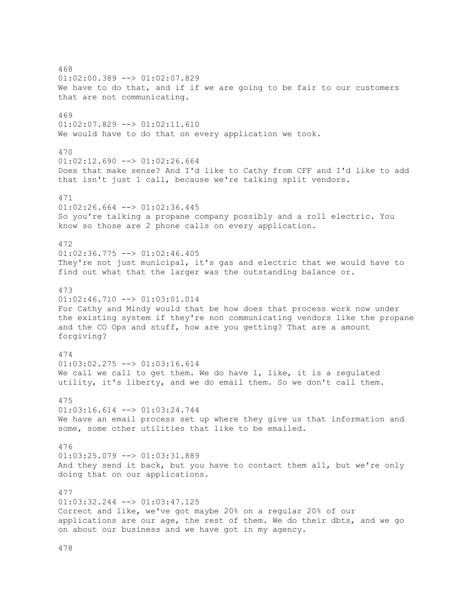468  $01:02:00.389$  -->  $01:02:07.829$ We have to do that, and if if we are going to be fair to our customers that are not communicating. 469 01:02:07.829 --> 01:02:11.610 We would have to do that on every application we took. 470  $01:02:12.690$  -->  $01:02:26.664$ Does that make sense? And I'd like to Cathy from CFF and I'd like to add that isn't just 1 call, because we're talking split vendors. 471  $01:02:26.664$  -->  $01:02:36.445$ So you're talking a propane company possibly and a roll electric. You know so those are 2 phone calls on every application. 472 01:02:36.775 --> 01:02:46.405 They're not just municipal, it's gas and electric that we would have to find out what that the larger was the outstanding balance or. 473  $01:02:46.710$  -->  $01:03:01.014$ For Cathy and Mindy would that be how does that process work now under the existing system if they're non communicating vendors like the propane and the CO Ops and stuff, how are you getting? That are a amount forgiving? 474  $01:03:02.275$  -->  $01:03:16.614$ We call we call to get them. We do have 1, like, it is a regulated utility, it's liberty, and we do email them. So we don't call them. 475 01:03:16.614 --> 01:03:24.744 We have an email process set up where they give us that information and some, some other utilities that like to be emailed. 476 01:03:25.079 --> 01:03:31.889 And they send it back, but you have to contact them all, but we're only doing that on our applications. 477 01:03:32.244 --> 01:03:47.125 Correct and like, we've got maybe 20% on a regular 20% of our applications are our age, the rest of them. We do their dbts, and we go on about our business and we have got in my agency.

478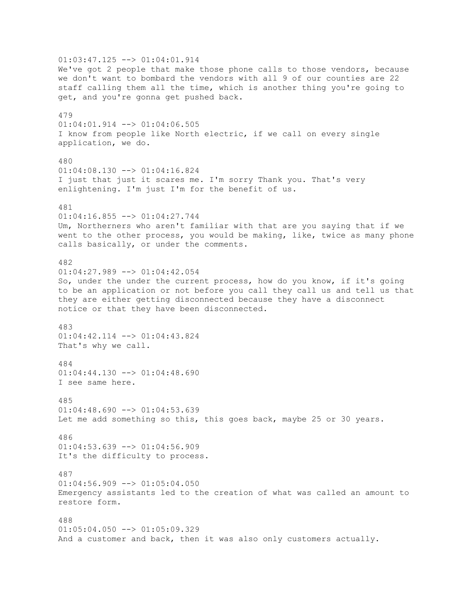01:03:47.125 --> 01:04:01.914 We've got 2 people that make those phone calls to those vendors, because we don't want to bombard the vendors with all 9 of our counties are 22 staff calling them all the time, which is another thing you're going to get, and you're gonna get pushed back. 479 01:04:01.914 --> 01:04:06.505 I know from people like North electric, if we call on every single application, we do. 480 01:04:08.130 --> 01:04:16.824 I just that just it scares me. I'm sorry Thank you. That's very enlightening. I'm just I'm for the benefit of us. 481  $01:04:16.855$  -->  $01:04:27.744$ Um, Northerners who aren't familiar with that are you saying that if we went to the other process, you would be making, like, twice as many phone calls basically, or under the comments. 482 01:04:27.989 --> 01:04:42.054 So, under the under the current process, how do you know, if it's going to be an application or not before you call they call us and tell us that they are either getting disconnected because they have a disconnect notice or that they have been disconnected. 483 01:04:42.114 --> 01:04:43.824 That's why we call. 484 01:04:44.130 --> 01:04:48.690 I see same here. 485  $01:04:48.690$  -->  $01:04:53.639$ Let me add something so this, this goes back, maybe 25 or 30 years. 486  $01:04:53.639$  -->  $01:04:56.909$ It's the difficulty to process. 487  $01:04:56.909$  -->  $01:05:04.050$ Emergency assistants led to the creation of what was called an amount to restore form. 488  $01:05:04.050$  -->  $01:05:09.329$ And a customer and back, then it was also only customers actually.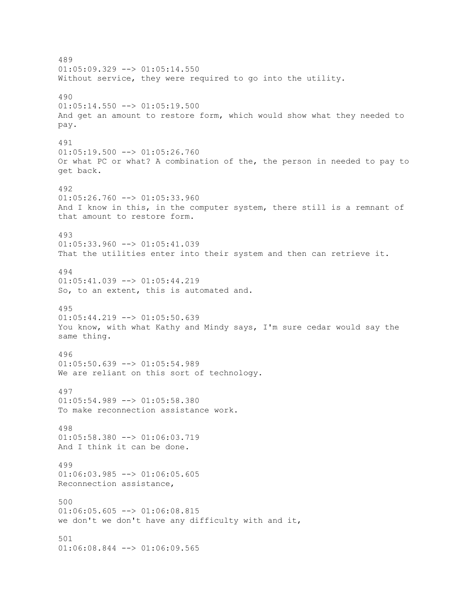489  $01:05:09.329$  -->  $01:05:14.550$ Without service, they were required to go into the utility. 490  $01:05:14.550$  -->  $01:05:19.500$ And get an amount to restore form, which would show what they needed to pay. 491  $01:05:19.500$  -->  $01:05:26.760$ Or what PC or what? A combination of the, the person in needed to pay to get back. 492  $01:05:26.760$  -->  $01:05:33.960$ And I know in this, in the computer system, there still is a remnant of that amount to restore form. 493 01:05:33.960 --> 01:05:41.039 That the utilities enter into their system and then can retrieve it. 494 01:05:41.039 --> 01:05:44.219 So, to an extent, this is automated and. 495 01:05:44.219 --> 01:05:50.639 You know, with what Kathy and Mindy says, I'm sure cedar would say the same thing. 496  $01:05:50.639$  -->  $01:05:54.989$ We are reliant on this sort of technology. 497 01:05:54.989 --> 01:05:58.380 To make reconnection assistance work. 498 01:05:58.380 --> 01:06:03.719 And I think it can be done. 499  $01:06:03.985$   $\leftarrow$   $>$   $01:06:05.605$ Reconnection assistance, 500  $01:06:05.605$  -->  $01:06:08.815$ we don't we don't have any difficulty with and it, 501 01:06:08.844 --> 01:06:09.565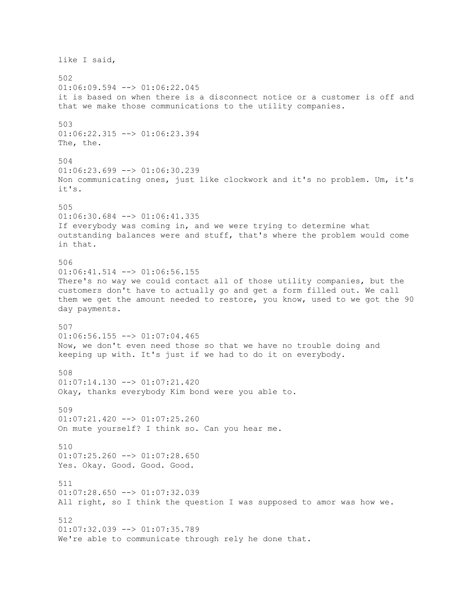like I said, 502 01:06:09.594 --> 01:06:22.045 it is based on when there is a disconnect notice or a customer is off and that we make those communications to the utility companies. 503 01:06:22.315 --> 01:06:23.394 The, the. 504  $01:06:23.699$  -->  $01:06:30.239$ Non communicating ones, just like clockwork and it's no problem. Um, it's it's. 505 01:06:30.684 --> 01:06:41.335 If everybody was coming in, and we were trying to determine what outstanding balances were and stuff, that's where the problem would come in that. 506 01:06:41.514 --> 01:06:56.155 There's no way we could contact all of those utility companies, but the customers don't have to actually go and get a form filled out. We call them we get the amount needed to restore, you know, used to we got the 90 day payments. 507  $01:06:56.155$  -->  $01:07:04.465$ Now, we don't even need those so that we have no trouble doing and keeping up with. It's just if we had to do it on everybody. 508  $01:07:14.130$  -->  $01:07:21.420$ Okay, thanks everybody Kim bond were you able to. 509  $01:07:21.420$  -->  $01:07:25.260$ On mute yourself? I think so. Can you hear me. 510 01:07:25.260 --> 01:07:28.650 Yes. Okay. Good. Good. Good. 511 01:07:28.650 --> 01:07:32.039 All right, so I think the question I was supposed to amor was how we. 512 01:07:32.039 --> 01:07:35.789 We're able to communicate through rely he done that.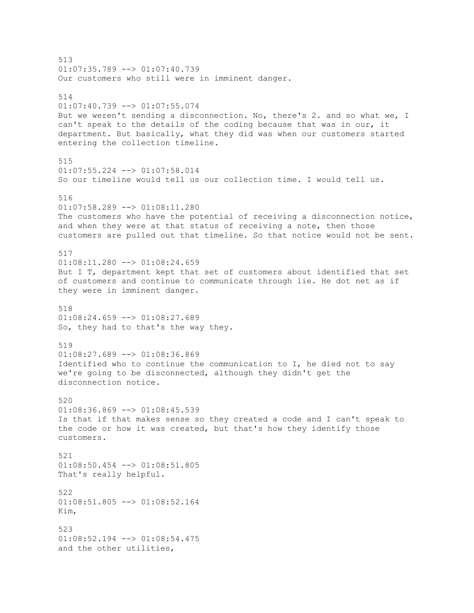513 01:07:35.789 --> 01:07:40.739 Our customers who still were in imminent danger. 514 01:07:40.739 --> 01:07:55.074 But we weren't sending a disconnection. No, there's 2. and so what we, I can't speak to the details of the coding because that was in our, it department. But basically, what they did was when our customers started entering the collection timeline. 515 01:07:55.224 --> 01:07:58.014 So our timeline would tell us our collection time. I would tell us. 516 01:07:58.289 --> 01:08:11.280 The customers who have the potential of receiving a disconnection notice, and when they were at that status of receiving a note, then those customers are pulled out that timeline. So that notice would not be sent. 517 01:08:11.280 --> 01:08:24.659 But I T, department kept that set of customers about identified that set of customers and continue to communicate through lie. He dot net as if they were in imminent danger. 518  $01:08:24.659$  -->  $01:08:27.689$ So, they had to that's the way they. 519  $01:08:27.689$  -->  $01:08:36.869$ Identified who to continue the communication to I, he died not to say we're going to be disconnected, although they didn't get the disconnection notice. 520  $01:08:36.869$  -->  $01:08:45.539$ Is that if that makes sense so they created a code and I can't speak to the code or how it was created, but that's how they identify those customers. 521 01:08:50.454 --> 01:08:51.805 That's really helpful. 522 01:08:51.805 --> 01:08:52.164 Kim, 523 01:08:52.194 --> 01:08:54.475 and the other utilities,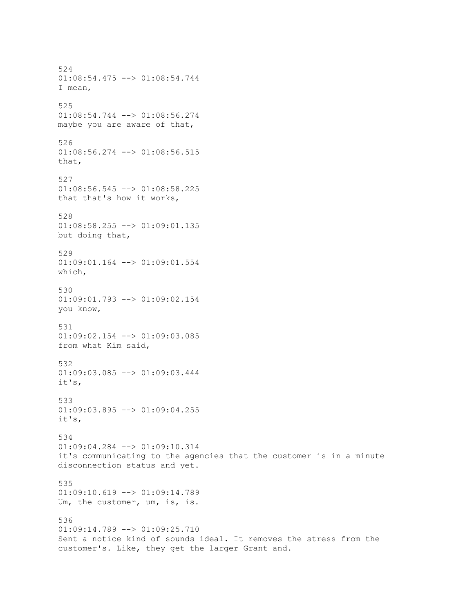524 01:08:54.475 --> 01:08:54.744 I mean, 525 01:08:54.744 --> 01:08:56.274 maybe you are aware of that, 526 01:08:56.274 --> 01:08:56.515 that, 527 01:08:56.545 --> 01:08:58.225 that that's how it works, 528 01:08:58.255 --> 01:09:01.135 but doing that, 529 01:09:01.164 --> 01:09:01.554 which, 530 01:09:01.793 --> 01:09:02.154 you know, 531 01:09:02.154 --> 01:09:03.085 from what Kim said, 532 01:09:03.085 --> 01:09:03.444 it's, 533  $01:09:03.895$  -->  $01:09:04.255$ it's, 534 01:09:04.284 --> 01:09:10.314 it's communicating to the agencies that the customer is in a minute disconnection status and yet. 535 01:09:10.619 --> 01:09:14.789 Um, the customer, um, is, is. 536 01:09:14.789 --> 01:09:25.710 Sent a notice kind of sounds ideal. It removes the stress from the customer's. Like, they get the larger Grant and.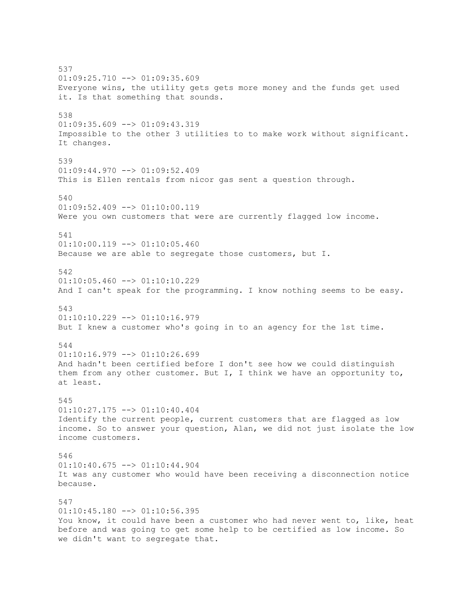537  $01:09:25.710$  -->  $01:09:35.609$ Everyone wins, the utility gets gets more money and the funds get used it. Is that something that sounds. 538 01:09:35.609 --> 01:09:43.319 Impossible to the other 3 utilities to to make work without significant. It changes. 539 01:09:44.970 --> 01:09:52.409 This is Ellen rentals from nicor gas sent a question through. 540  $01:09:52.409$  -->  $01:10:00.119$ Were you own customers that were are currently flagged low income. 541 01:10:00.119 --> 01:10:05.460 Because we are able to segregate those customers, but I. 542  $01:10:05.460$  -->  $01:10:10.229$ And I can't speak for the programming. I know nothing seems to be easy. 543 01:10:10.229 --> 01:10:16.979 But I knew a customer who's going in to an agency for the 1st time. 544  $01:10:16.979$  -->  $01:10:26.699$ And hadn't been certified before I don't see how we could distinguish them from any other customer. But I, I think we have an opportunity to, at least. 545 01:10:27.175 --> 01:10:40.404 Identify the current people, current customers that are flagged as low income. So to answer your question, Alan, we did not just isolate the low income customers. 546 01:10:40.675 --> 01:10:44.904 It was any customer who would have been receiving a disconnection notice because. 547  $01:10:45.180$  -->  $01:10:56.395$ You know, it could have been a customer who had never went to, like, heat before and was going to get some help to be certified as low income. So we didn't want to segregate that.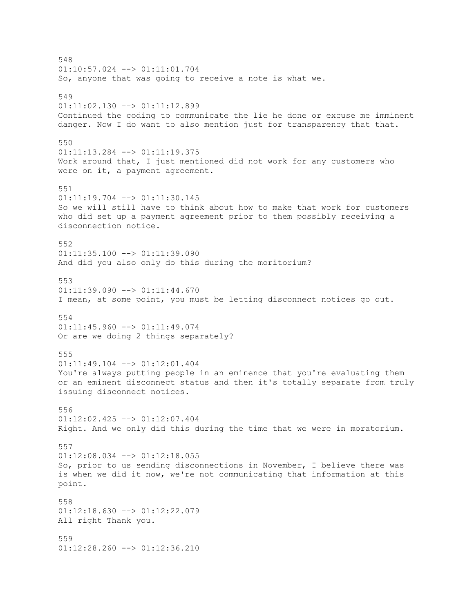548 01:10:57.024 --> 01:11:01.704 So, anyone that was going to receive a note is what we. 549 01:11:02.130 --> 01:11:12.899 Continued the coding to communicate the lie he done or excuse me imminent danger. Now I do want to also mention just for transparency that that. 550  $01:11:13.284$  -->  $01:11:19.375$ Work around that, I just mentioned did not work for any customers who were on it, a payment agreement. 551 01:11:19.704 --> 01:11:30.145 So we will still have to think about how to make that work for customers who did set up a payment agreement prior to them possibly receiving a disconnection notice. 552  $01:11:35.100$  -->  $01:11:39.090$ And did you also only do this during the moritorium? 553 01:11:39.090 --> 01:11:44.670 I mean, at some point, you must be letting disconnect notices go out. 554 01:11:45.960 --> 01:11:49.074 Or are we doing 2 things separately? 555 01:11:49.104 --> 01:12:01.404 You're always putting people in an eminence that you're evaluating them or an eminent disconnect status and then it's totally separate from truly issuing disconnect notices. 556 01:12:02.425 --> 01:12:07.404 Right. And we only did this during the time that we were in moratorium. 557 01:12:08.034 --> 01:12:18.055 So, prior to us sending disconnections in November, I believe there was is when we did it now, we're not communicating that information at this point. 558 01:12:18.630 --> 01:12:22.079 All right Thank you. 559 01:12:28.260 --> 01:12:36.210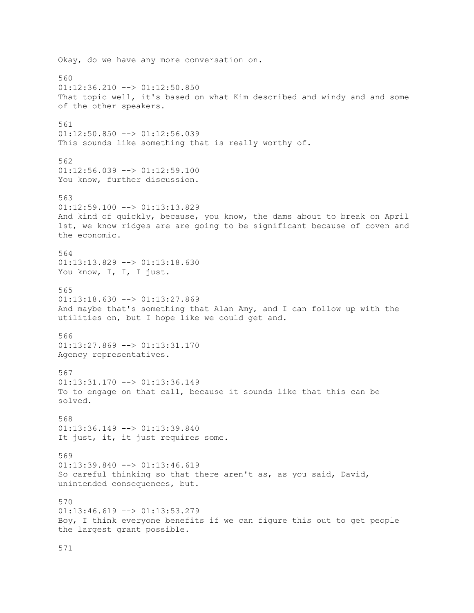Okay, do we have any more conversation on. 560 01:12:36.210 --> 01:12:50.850 That topic well, it's based on what Kim described and windy and and some of the other speakers. 561 01:12:50.850 --> 01:12:56.039 This sounds like something that is really worthy of. 562  $01:12:56.039$  -->  $01:12:59.100$ You know, further discussion. 563  $01:12:59.100$  -->  $01:13:13.829$ And kind of quickly, because, you know, the dams about to break on April 1st, we know ridges are are going to be significant because of coven and the economic. 564 01:13:13.829 --> 01:13:18.630 You know, I, I, I just. 565  $01:13:18.630$  -->  $01:13:27.869$ And maybe that's something that Alan Amy, and I can follow up with the utilities on, but I hope like we could get and. 566 01:13:27.869 --> 01:13:31.170 Agency representatives. 567 01:13:31.170 --> 01:13:36.149 To to engage on that call, because it sounds like that this can be solved. 568 01:13:36.149 --> 01:13:39.840 It just, it, it just requires some. 569 01:13:39.840 --> 01:13:46.619 So careful thinking so that there aren't as, as you said, David, unintended consequences, but. 570 01:13:46.619 --> 01:13:53.279 Boy, I think everyone benefits if we can figure this out to get people the largest grant possible.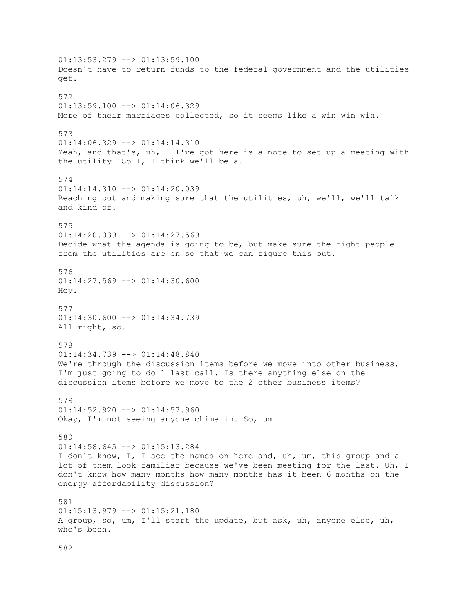$01:13:53.279$  -->  $01:13:59.100$ Doesn't have to return funds to the federal government and the utilities get. 572  $01:13:59.100$  -->  $01:14:06.329$ More of their marriages collected, so it seems like a win win win. 573 01:14:06.329 --> 01:14:14.310 Yeah, and that's, uh, I I've got here is a note to set up a meeting with the utility. So I, I think we'll be a. 574 01:14:14.310 --> 01:14:20.039 Reaching out and making sure that the utilities, uh, we'll, we'll talk and kind of. 575 01:14:20.039 --> 01:14:27.569 Decide what the agenda is going to be, but make sure the right people from the utilities are on so that we can figure this out. 576  $01:14:27.569$  -->  $01:14:30.600$ Hey. 577 01:14:30.600 --> 01:14:34.739 All right, so. 578 01:14:34.739 --> 01:14:48.840 We're through the discussion items before we move into other business, I'm just going to do 1 last call. Is there anything else on the discussion items before we move to the 2 other business items? 579  $01:14:52.920$  -->  $01:14:57.960$ Okay, I'm not seeing anyone chime in. So, um. 580 01:14:58.645 --> 01:15:13.284 I don't know, I, I see the names on here and, uh, um, this group and a lot of them look familiar because we've been meeting for the last. Uh, I don't know how many months how many months has it been 6 months on the energy affordability discussion? 581 01:15:13.979 --> 01:15:21.180 A group, so, um, I'll start the update, but ask, uh, anyone else, uh, who's been.

582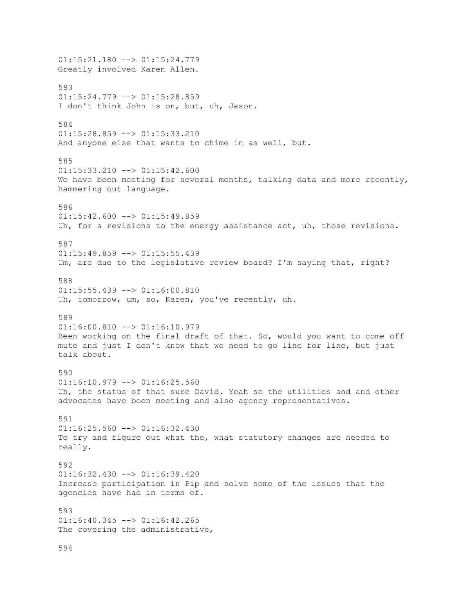01:15:21.180 --> 01:15:24.779 Greatly involved Karen Allen. 583 01:15:24.779 --> 01:15:28.859 I don't think John is on, but, uh, Jason. 584 01:15:28.859 --> 01:15:33.210 And anyone else that wants to chime in as well, but. 585  $01:15:33.210$  -->  $01:15:42.600$ We have been meeting for several months, talking data and more recently, hammering out language. 586  $01:15:42.600$  -->  $01:15:49.859$ Uh, for a revisions to the energy assistance act, uh, those revisions. 587  $01:15:49.859$  -->  $01:15:55.439$ Um, are due to the legislative review board? I'm saying that, right? 588 01:15:55.439 --> 01:16:00.810 Uh, tomorrow, um, so, Karen, you've recently, uh. 589 01:16:00.810 --> 01:16:10.979 Been working on the final draft of that. So, would you want to come off mute and just I don't know that we need to go line for line, but just talk about. 590 01:16:10.979 --> 01:16:25.560 Uh, the status of that sure David. Yeah so the utilities and and other advocates have been meeting and also agency representatives. 591 01:16:25.560 --> 01:16:32.430 To try and figure out what the, what statutory changes are needed to really. 592  $01:16:32.430$   $\rightarrow$   $01:16:39.420$ Increase participation in Pip and solve some of the issues that the agencies have had in terms of. 593 01:16:40.345 --> 01:16:42.265 The covering the administrative, 594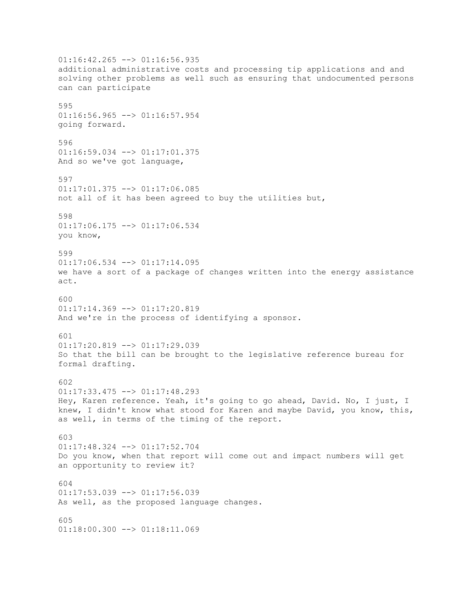$01:16:42.265$  -->  $01:16:56.935$ additional administrative costs and processing tip applications and and solving other problems as well such as ensuring that undocumented persons can can participate 595 01:16:56.965 --> 01:16:57.954 going forward. 596 01:16:59.034 --> 01:17:01.375 And so we've got language, 597 01:17:01.375 --> 01:17:06.085 not all of it has been agreed to buy the utilities but, 598 01:17:06.175 --> 01:17:06.534 you know, 599 01:17:06.534 --> 01:17:14.095 we have a sort of a package of changes written into the energy assistance act. 600  $01:17:14.369$  -->  $01:17:20.819$ And we're in the process of identifying a sponsor. 601  $01:17:20.819$  -->  $01:17:29.039$ So that the bill can be brought to the legislative reference bureau for formal drafting. 602 01:17:33.475 --> 01:17:48.293 Hey, Karen reference. Yeah, it's going to go ahead, David. No, I just, I knew, I didn't know what stood for Karen and maybe David, you know, this, as well, in terms of the timing of the report. 603 01:17:48.324 --> 01:17:52.704 Do you know, when that report will come out and impact numbers will get an opportunity to review it? 604 01:17:53.039 --> 01:17:56.039 As well, as the proposed language changes. 605  $01:18:00.300$  -->  $01:18:11.069$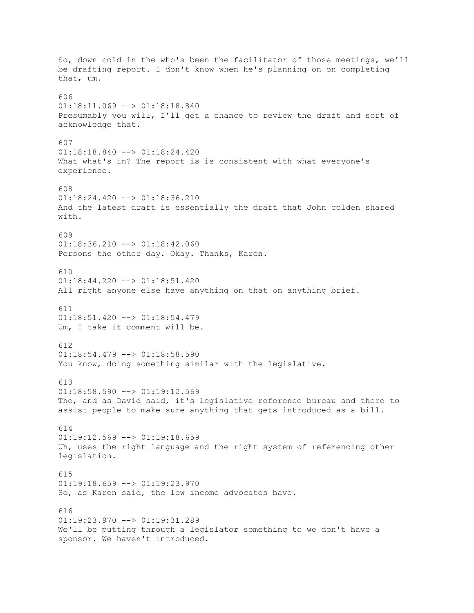So, down cold in the who's been the facilitator of those meetings, we'll be drafting report. I don't know when he's planning on on completing that, um. 606 01:18:11.069 --> 01:18:18.840 Presumably you will, I'll get a chance to review the draft and sort of acknowledge that. 607 01:18:18.840 --> 01:18:24.420 What what's in? The report is is consistent with what everyone's experience. 608 01:18:24.420 --> 01:18:36.210 And the latest draft is essentially the draft that John colden shared with. 609  $01:18:36.210$  -->  $01:18:42.060$ Persons the other day. Okay. Thanks, Karen. 610 01:18:44.220 --> 01:18:51.420 All right anyone else have anything on that on anything brief. 611 01:18:51.420 --> 01:18:54.479 Um, I take it comment will be. 612  $01:18:54.479$  -->  $01:18:58.590$ You know, doing something similar with the legislative. 613 01:18:58.590 --> 01:19:12.569 The, and as David said, it's legislative reference bureau and there to assist people to make sure anything that gets introduced as a bill. 614  $01:19:12.569$  -->  $01:19:18.659$ Uh, uses the right language and the right system of referencing other legislation. 615  $01:19:18.659$  -->  $01:19:23.970$ So, as Karen said, the low income advocates have. 616 01:19:23.970 --> 01:19:31.289 We'll be putting through a legislator something to we don't have a sponsor. We haven't introduced.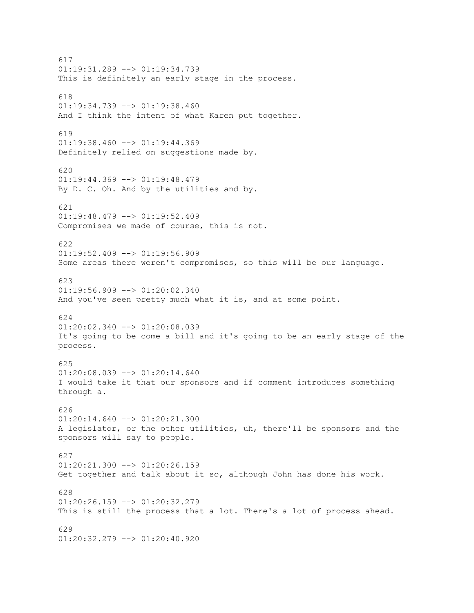617 01:19:31.289 --> 01:19:34.739 This is definitely an early stage in the process. 618  $01:19:34.739$  -->  $01:19:38.460$ And I think the intent of what Karen put together. 619  $01:19:38.460$  -->  $01:19:44.369$ Definitely relied on suggestions made by. 620 01:19:44.369 --> 01:19:48.479 By D. C. Oh. And by the utilities and by. 621 01:19:48.479 --> 01:19:52.409 Compromises we made of course, this is not. 622  $01:19:52.409$  -->  $01:19:56.909$ Some areas there weren't compromises, so this will be our language. 623 01:19:56.909 --> 01:20:02.340 And you've seen pretty much what it is, and at some point. 624 01:20:02.340 --> 01:20:08.039 It's going to be come a bill and it's going to be an early stage of the process. 625 01:20:08.039 --> 01:20:14.640 I would take it that our sponsors and if comment introduces something through a. 626  $01:20:14.640$  -->  $01:20:21.300$ A legislator, or the other utilities, uh, there'll be sponsors and the sponsors will say to people. 627  $01:20:21.300$  -->  $01:20:26.159$ Get together and talk about it so, although John has done his work. 628 01:20:26.159 --> 01:20:32.279 This is still the process that a lot. There's a lot of process ahead. 629 01:20:32.279 --> 01:20:40.920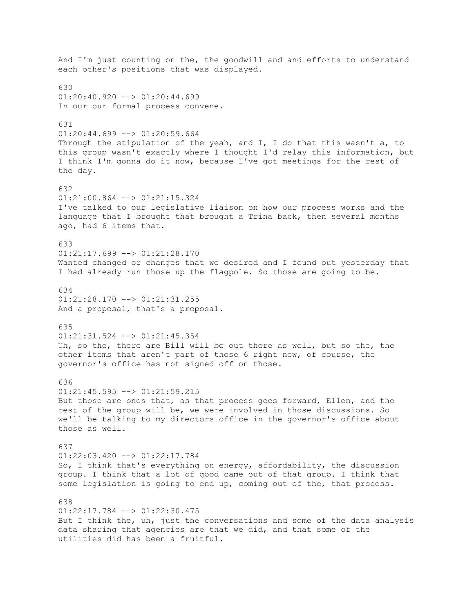And I'm just counting on the, the goodwill and and efforts to understand each other's positions that was displayed. 630 01:20:40.920 --> 01:20:44.699 In our our formal process convene. 631  $01:20:44.699$  -->  $01:20:59.664$ Through the stipulation of the yeah, and  $I$ , I do that this wasn't a, to this group wasn't exactly where I thought I'd relay this information, but I think I'm gonna do it now, because I've got meetings for the rest of the day. 632 01:21:00.864 --> 01:21:15.324 I've talked to our legislative liaison on how our process works and the language that I brought that brought a Trina back, then several months ago, had 6 items that. 633  $01:21:17.699$  -->  $01:21:28.170$ Wanted changed or changes that we desired and I found out yesterday that I had already run those up the flagpole. So those are going to be. 634  $01:21:28.170$  -->  $01:21:31.255$ And a proposal, that's a proposal. 635 01:21:31.524 --> 01:21:45.354 Uh, so the, there are Bill will be out there as well, but so the, the other items that aren't part of those 6 right now, of course, the governor's office has not signed off on those. 636 01:21:45.595 --> 01:21:59.215 But those are ones that, as that process goes forward, Ellen, and the rest of the group will be, we were involved in those discussions. So we'll be talking to my directors office in the governor's office about those as well. 637 01:22:03.420 --> 01:22:17.784 So, I think that's everything on energy, affordability, the discussion group. I think that a lot of good came out of that group. I think that some legislation is going to end up, coming out of the, that process. 638 01:22:17.784 --> 01:22:30.475 But I think the, uh, just the conversations and some of the data analysis data sharing that agencies are that we did, and that some of the utilities did has been a fruitful.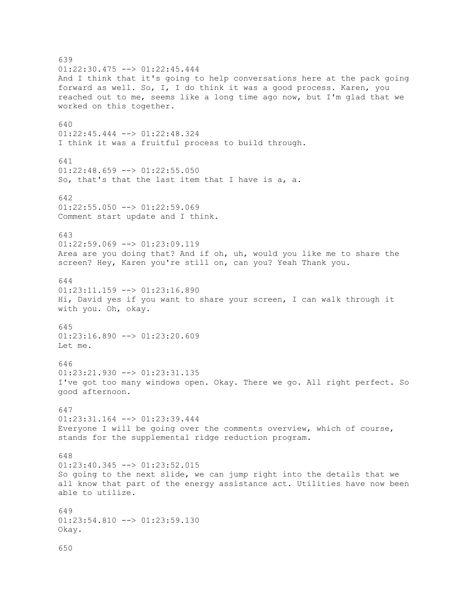639 01:22:30.475 --> 01:22:45.444 And I think that it's going to help conversations here at the pack going forward as well. So, I, I do think it was a good process. Karen, you reached out to me, seems like a long time ago now, but I'm glad that we worked on this together. 640 01:22:45.444 --> 01:22:48.324 I think it was a fruitful process to build through. 641  $01:22:48.659$  -->  $01:22:55.050$ So, that's that the last item that I have is a, a. 642  $01:22:55.050$  -->  $01:22:59.069$ Comment start update and I think. 643 01:22:59.069 --> 01:23:09.119 Area are you doing that? And if oh, uh, would you like me to share the screen? Hey, Karen you're still on, can you? Yeah Thank you. 644 01:23:11.159 --> 01:23:16.890 Hi, David yes if you want to share your screen, I can walk through it with you. Oh, okay. 645  $01:23:16.890$  -->  $01:23:20.609$ Let me. 646 01:23:21.930 --> 01:23:31.135 I've got too many windows open. Okay. There we go. All right perfect. So good afternoon. 647 01:23:31.164 --> 01:23:39.444 Everyone I will be going over the comments overview, which of course, stands for the supplemental ridge reduction program. 648 01:23:40.345 --> 01:23:52.015 So going to the next slide, we can jump right into the details that we all know that part of the energy assistance act. Utilities have now been able to utilize. 649 01:23:54.810 --> 01:23:59.130 Okay. 650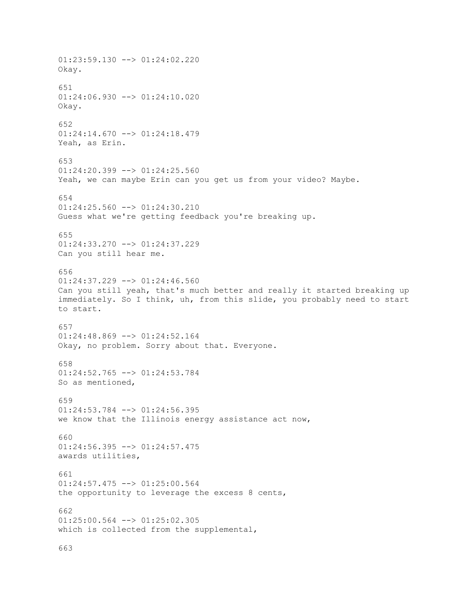01:23:59.130 --> 01:24:02.220 Okay. 651 01:24:06.930 --> 01:24:10.020 Okay. 652 01:24:14.670 --> 01:24:18.479 Yeah, as Erin. 653  $01:24:20.399$  -->  $01:24:25.560$ Yeah, we can maybe Erin can you get us from your video? Maybe. 654 01:24:25.560 --> 01:24:30.210 Guess what we're getting feedback you're breaking up. 655 01:24:33.270 --> 01:24:37.229 Can you still hear me. 656  $01:24:37.229$  -->  $01:24:46.560$ Can you still yeah, that's much better and really it started breaking up immediately. So I think, uh, from this slide, you probably need to start to start. 657 01:24:48.869 --> 01:24:52.164 Okay, no problem. Sorry about that. Everyone. 658 01:24:52.765 --> 01:24:53.784 So as mentioned, 659 01:24:53.784 --> 01:24:56.395 we know that the Illinois energy assistance act now, 660 01:24:56.395 --> 01:24:57.475 awards utilities, 661 01:24:57.475 --> 01:25:00.564 the opportunity to leverage the excess 8 cents, 662 01:25:00.564 --> 01:25:02.305 which is collected from the supplemental,

663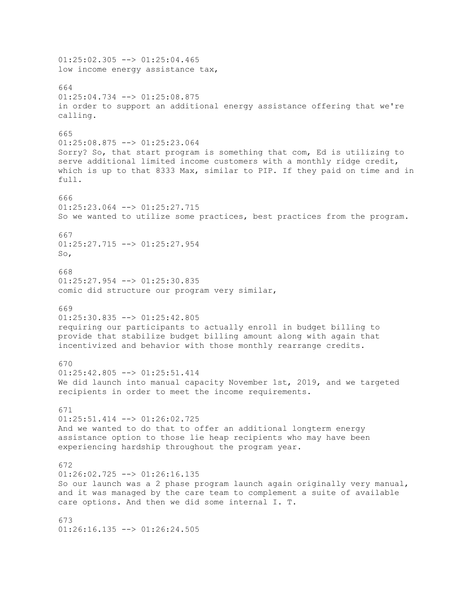01:25:02.305 --> 01:25:04.465 low income energy assistance tax, 664 01:25:04.734 --> 01:25:08.875 in order to support an additional energy assistance offering that we're calling. 665 01:25:08.875 --> 01:25:23.064 Sorry? So, that start program is something that com, Ed is utilizing to serve additional limited income customers with a monthly ridge credit, which is up to that 8333 Max, similar to PIP. If they paid on time and in full. 666 01:25:23.064 --> 01:25:27.715 So we wanted to utilize some practices, best practices from the program. 667 01:25:27.715 --> 01:25:27.954 So, 668 01:25:27.954 --> 01:25:30.835 comic did structure our program very similar, 669 01:25:30.835 --> 01:25:42.805 requiring our participants to actually enroll in budget billing to provide that stabilize budget billing amount along with again that incentivized and behavior with those monthly rearrange credits. 670 01:25:42.805 --> 01:25:51.414 We did launch into manual capacity November 1st, 2019, and we targeted recipients in order to meet the income requirements. 671  $01:25:51.414$   $\leftarrow$   $>$   $01:26:02.725$ And we wanted to do that to offer an additional longterm energy assistance option to those lie heap recipients who may have been experiencing hardship throughout the program year. 672  $01:26:02.725$   $\longrightarrow$   $01:26:16.135$ So our launch was a 2 phase program launch again originally very manual, and it was managed by the care team to complement a suite of available care options. And then we did some internal I. T. 673  $01:26:16.135$  -->  $01:26:24.505$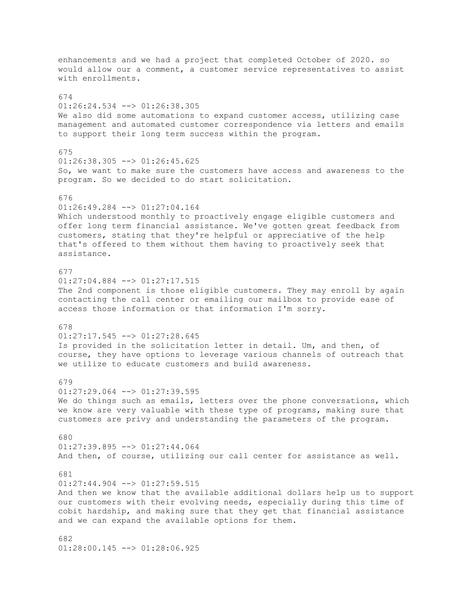enhancements and we had a project that completed October of 2020. so would allow our a comment, a customer service representatives to assist with enrollments. 674 01:26:24.534 --> 01:26:38.305 We also did some automations to expand customer access, utilizing case management and automated customer correspondence via letters and emails to support their long term success within the program. 675 01:26:38.305 --> 01:26:45.625 So, we want to make sure the customers have access and awareness to the program. So we decided to do start solicitation. 676 01:26:49.284 --> 01:27:04.164 Which understood monthly to proactively engage eligible customers and offer long term financial assistance. We've gotten great feedback from customers, stating that they're helpful or appreciative of the help that's offered to them without them having to proactively seek that assistance. 677 01:27:04.884 --> 01:27:17.515 The 2nd component is those eligible customers. They may enroll by again contacting the call center or emailing our mailbox to provide ease of access those information or that information I'm sorry. 678  $01:27:17.545$  -->  $01:27:28.645$ Is provided in the solicitation letter in detail. Um, and then, of course, they have options to leverage various channels of outreach that we utilize to educate customers and build awareness. 679 01:27:29.064 --> 01:27:39.595 We do things such as emails, letters over the phone conversations, which we know are very valuable with these type of programs, making sure that customers are privy and understanding the parameters of the program. 680 01:27:39.895 --> 01:27:44.064 And then, of course, utilizing our call center for assistance as well. 681  $01:27:44.904$  -->  $01:27:59.515$ And then we know that the available additional dollars help us to support our customers with their evolving needs, especially during this time of cobit hardship, and making sure that they get that financial assistance and we can expand the available options for them. 682

01:28:00.145 --> 01:28:06.925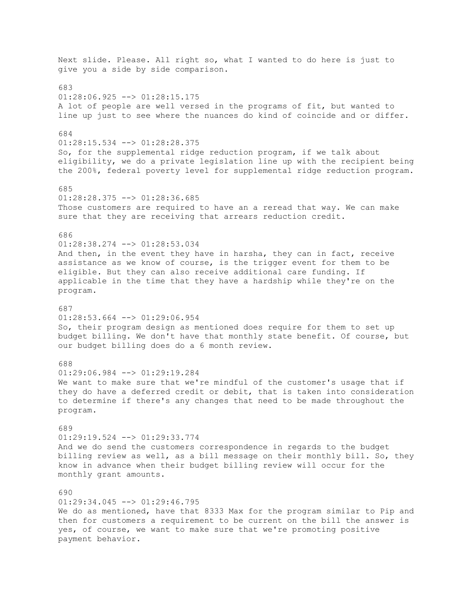Next slide. Please. All right so, what I wanted to do here is just to give you a side by side comparison. 683 01:28:06.925 --> 01:28:15.175 A lot of people are well versed in the programs of fit, but wanted to line up just to see where the nuances do kind of coincide and or differ. 684 01:28:15.534 --> 01:28:28.375 So, for the supplemental ridge reduction program, if we talk about eligibility, we do a private legislation line up with the recipient being the 200%, federal poverty level for supplemental ridge reduction program. 685 01:28:28.375 --> 01:28:36.685 Those customers are required to have an a reread that way. We can make sure that they are receiving that arrears reduction credit. 686 01:28:38.274 --> 01:28:53.034 And then, in the event they have in harsha, they can in fact, receive assistance as we know of course, is the trigger event for them to be eligible. But they can also receive additional care funding. If applicable in the time that they have a hardship while they're on the program. 687 01:28:53.664 --> 01:29:06.954 So, their program design as mentioned does require for them to set up budget billing. We don't have that monthly state benefit. Of course, but our budget billing does do a 6 month review. 688 01:29:06.984 --> 01:29:19.284 We want to make sure that we're mindful of the customer's usage that if they do have a deferred credit or debit, that is taken into consideration to determine if there's any changes that need to be made throughout the program. 689 01:29:19.524 --> 01:29:33.774 And we do send the customers correspondence in regards to the budget billing review as well, as a bill message on their monthly bill. So, they know in advance when their budget billing review will occur for the monthly grant amounts. 690 01:29:34.045 --> 01:29:46.795 We do as mentioned, have that 8333 Max for the program similar to Pip and then for customers a requirement to be current on the bill the answer is yes, of course, we want to make sure that we're promoting positive payment behavior.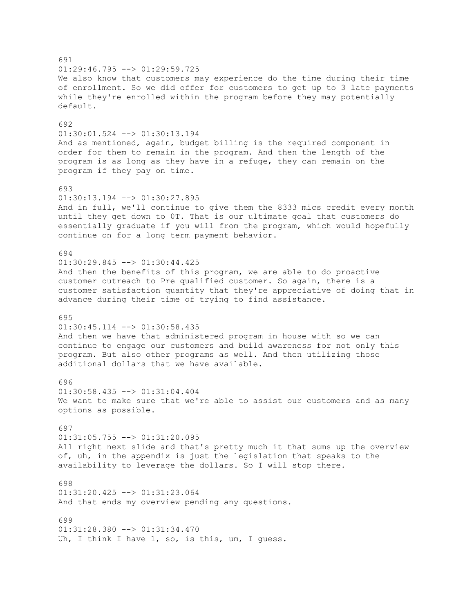691 01:29:46.795 --> 01:29:59.725 We also know that customers may experience do the time during their time of enrollment. So we did offer for customers to get up to 3 late payments while they're enrolled within the program before they may potentially default. 692 01:30:01.524 --> 01:30:13.194 And as mentioned, again, budget billing is the required component in order for them to remain in the program. And then the length of the program is as long as they have in a refuge, they can remain on the program if they pay on time. 693 01:30:13.194 --> 01:30:27.895 And in full, we'll continue to give them the 8333 mics credit every month until they get down to 0T. That is our ultimate goal that customers do essentially graduate if you will from the program, which would hopefully continue on for a long term payment behavior. 694 01:30:29.845 --> 01:30:44.425 And then the benefits of this program, we are able to do proactive customer outreach to Pre qualified customer. So again, there is a customer satisfaction quantity that they're appreciative of doing that in advance during their time of trying to find assistance. 695 01:30:45.114 --> 01:30:58.435 And then we have that administered program in house with so we can continue to engage our customers and build awareness for not only this program. But also other programs as well. And then utilizing those additional dollars that we have available. 696 01:30:58.435 --> 01:31:04.404 We want to make sure that we're able to assist our customers and as many options as possible. 697 01:31:05.755 --> 01:31:20.095 All right next slide and that's pretty much it that sums up the overview of, uh, in the appendix is just the legislation that speaks to the availability to leverage the dollars. So I will stop there. 698 01:31:20.425 --> 01:31:23.064 And that ends my overview pending any questions. 699 01:31:28.380 --> 01:31:34.470 Uh, I think I have 1, so, is this, um, I quess.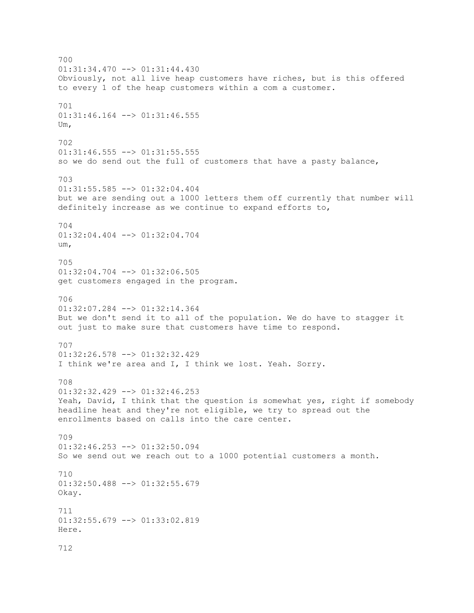700  $01:31:34.470$  -->  $01:31:44.430$ Obviously, not all live heap customers have riches, but is this offered to every 1 of the heap customers within a com a customer. 701 01:31:46.164 --> 01:31:46.555 Um, 702  $01:31:46.555$  -->  $01:31:55.555$ so we do send out the full of customers that have a pasty balance, 703 01:31:55.585 --> 01:32:04.404 but we are sending out a 1000 letters them off currently that number will definitely increase as we continue to expand efforts to, 704 01:32:04.404 --> 01:32:04.704 um, 705 01:32:04.704 --> 01:32:06.505 get customers engaged in the program. 706 01:32:07.284 --> 01:32:14.364 But we don't send it to all of the population. We do have to stagger it out just to make sure that customers have time to respond. 707 01:32:26.578 --> 01:32:32.429 I think we're area and I, I think we lost. Yeah. Sorry. 708 01:32:32.429 --> 01:32:46.253 Yeah, David, I think that the question is somewhat yes, right if somebody headline heat and they're not eligible, we try to spread out the enrollments based on calls into the care center. 709 01:32:46.253 --> 01:32:50.094 So we send out we reach out to a 1000 potential customers a month. 710 01:32:50.488 --> 01:32:55.679 Okay. 711 01:32:55.679 --> 01:33:02.819 Here. 712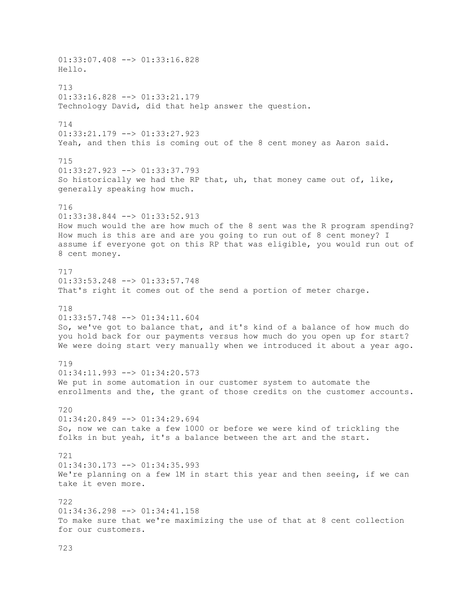01:33:07.408 --> 01:33:16.828 Hello. 713 01:33:16.828 --> 01:33:21.179 Technology David, did that help answer the question. 714 01:33:21.179 --> 01:33:27.923 Yeah, and then this is coming out of the 8 cent money as Aaron said. 715 01:33:27.923 --> 01:33:37.793 So historically we had the RP that, uh, that money came out of, like, generally speaking how much. 716 01:33:38.844 --> 01:33:52.913 How much would the are how much of the 8 sent was the R program spending? How much is this are and are you going to run out of 8 cent money? I assume if everyone got on this RP that was eligible, you would run out of 8 cent money. 717 01:33:53.248 --> 01:33:57.748 That's right it comes out of the send a portion of meter charge. 718 01:33:57.748 --> 01:34:11.604 So, we've got to balance that, and it's kind of a balance of how much do you hold back for our payments versus how much do you open up for start? We were doing start very manually when we introduced it about a year ago. 719 01:34:11.993 --> 01:34:20.573 We put in some automation in our customer system to automate the enrollments and the, the grant of those credits on the customer accounts. 720 01:34:20.849 --> 01:34:29.694 So, now we can take a few 1000 or before we were kind of trickling the folks in but yeah, it's a balance between the art and the start. 721 01:34:30.173 --> 01:34:35.993 We're planning on a few 1M in start this year and then seeing, if we can take it even more. 722 01:34:36.298 --> 01:34:41.158 To make sure that we're maximizing the use of that at 8 cent collection for our customers.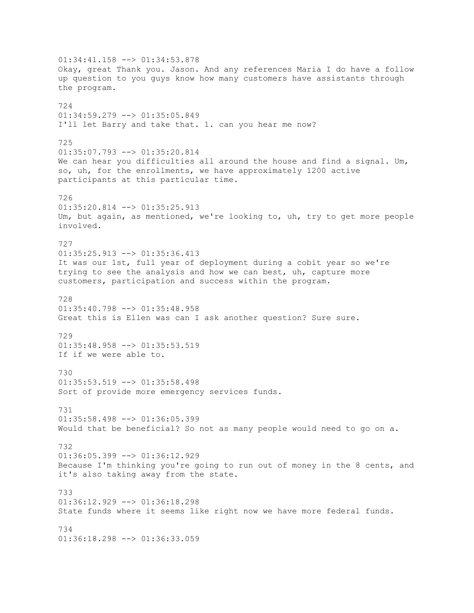01:34:41.158 --> 01:34:53.878 Okay, great Thank you. Jason. And any references Maria I do have a follow up question to you guys know how many customers have assistants through the program. 724 01:34:59.279 --> 01:35:05.849 I'll let Barry and take that. 1. can you hear me now? 725 01:35:07.793 --> 01:35:20.814 We can hear you difficulties all around the house and find a signal. Um, so, uh, for the enrollments, we have approximately 1200 active participants at this particular time. 726 01:35:20.814 --> 01:35:25.913 Um, but again, as mentioned, we're looking to, uh, try to get more people involved. 727 01:35:25.913 --> 01:35:36.413 It was our 1st, full year of deployment during a cobit year so we're trying to see the analysis and how we can best, uh, capture more customers, participation and success within the program. 728  $01:35:40.798$  -->  $01:35:48.958$ Great this is Ellen was can I ask another question? Sure sure. 729 01:35:48.958 --> 01:35:53.519 If if we were able to. 730 01:35:53.519 --> 01:35:58.498 Sort of provide more emergency services funds. 731 01:35:58.498 --> 01:36:05.399 Would that be beneficial? So not as many people would need to go on a. 732 01:36:05.399 --> 01:36:12.929 Because I'm thinking you're going to run out of money in the 8 cents, and it's also taking away from the state. 733 01:36:12.929 --> 01:36:18.298 State funds where it seems like right now we have more federal funds. 734  $01:36:18.298$  -->  $01:36:33.059$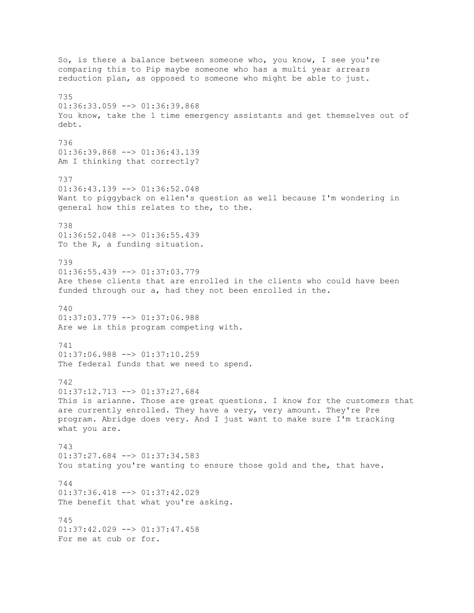So, is there a balance between someone who, you know, I see you're comparing this to Pip maybe someone who has a multi year arrears reduction plan, as opposed to someone who might be able to just. 735 01:36:33.059 --> 01:36:39.868 You know, take the 1 time emergency assistants and get themselves out of debt. 736  $01:36:39.868$  -->  $01:36:43.139$ Am I thinking that correctly? 737 01:36:43.139 --> 01:36:52.048 Want to piggyback on ellen's question as well because I'm wondering in general how this relates to the, to the. 738 01:36:52.048 --> 01:36:55.439 To the R, a funding situation. 739 01:36:55.439 --> 01:37:03.779 Are these clients that are enrolled in the clients who could have been funded through our a, had they not been enrolled in the. 740 01:37:03.779 --> 01:37:06.988 Are we is this program competing with. 741 01:37:06.988 --> 01:37:10.259 The federal funds that we need to spend. 742 01:37:12.713 --> 01:37:27.684 This is arianne. Those are great questions. I know for the customers that are currently enrolled. They have a very, very amount. They're Pre program. Abridge does very. And I just want to make sure I'm tracking what you are. 743 01:37:27.684 --> 01:37:34.583 You stating you're wanting to ensure those gold and the, that have. 744 01:37:36.418 --> 01:37:42.029 The benefit that what you're asking. 745 01:37:42.029 --> 01:37:47.458 For me at cub or for.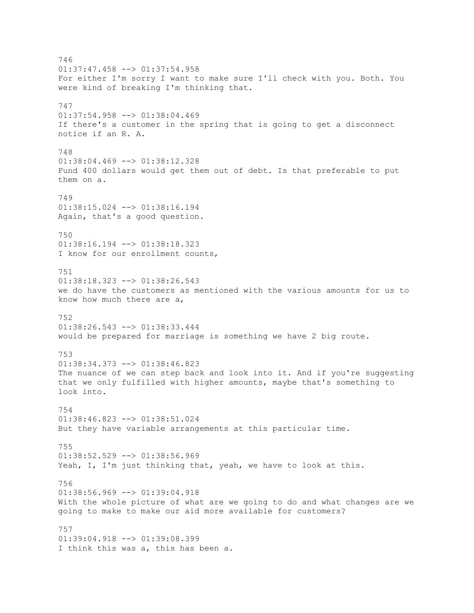746 01:37:47.458 --> 01:37:54.958 For either I'm sorry I want to make sure I'll check with you. Both. You were kind of breaking I'm thinking that. 747 01:37:54.958 --> 01:38:04.469 If there's a customer in the spring that is going to get a disconnect notice if an R. A. 748 01:38:04.469 --> 01:38:12.328 Fund 400 dollars would get them out of debt. Is that preferable to put them on a. 749 01:38:15.024 --> 01:38:16.194 Again, that's a good question. 750 01:38:16.194 --> 01:38:18.323 I know for our enrollment counts, 751  $01:38:18.323$  -->  $01:38:26.543$ we do have the customers as mentioned with the various amounts for us to know how much there are a, 752 01:38:26.543 --> 01:38:33.444 would be prepared for marriage is something we have 2 big route. 753 01:38:34.373 --> 01:38:46.823 The nuance of we can step back and look into it. And if you're suggesting that we only fulfilled with higher amounts, maybe that's something to look into. 754 01:38:46.823 --> 01:38:51.024 But they have variable arrangements at this particular time. 755 01:38:52.529 --> 01:38:56.969 Yeah, I, I'm just thinking that, yeah, we have to look at this. 756  $01:38:56.969$  -->  $01:39:04.918$ With the whole picture of what are we going to do and what changes are we going to make to make our aid more available for customers? 757 01:39:04.918 --> 01:39:08.399 I think this was a, this has been a.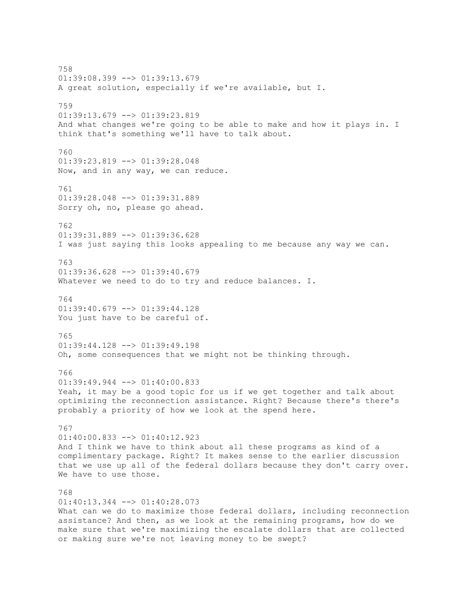758  $01:39:08.399$  -->  $01:39:13.679$ A great solution, especially if we're available, but I. 759 01:39:13.679 --> 01:39:23.819 And what changes we're going to be able to make and how it plays in. I think that's something we'll have to talk about. 760 01:39:23.819 --> 01:39:28.048 Now, and in any way, we can reduce. 761 01:39:28.048 --> 01:39:31.889 Sorry oh, no, please go ahead. 762 01:39:31.889 --> 01:39:36.628 I was just saying this looks appealing to me because any way we can. 763 01:39:36.628 --> 01:39:40.679 Whatever we need to do to try and reduce balances. I. 764  $01:39:40.679$  -->  $01:39:44.128$ You just have to be careful of. 765 01:39:44.128 --> 01:39:49.198 Oh, some consequences that we might not be thinking through. 766  $01:39:49.944$   $\longrightarrow$   $01:40:00.833$ Yeah, it may be a good topic for us if we get together and talk about optimizing the reconnection assistance. Right? Because there's there's probably a priority of how we look at the spend here. 767 01:40:00.833 --> 01:40:12.923 And I think we have to think about all these programs as kind of a complimentary package. Right? It makes sense to the earlier discussion that we use up all of the federal dollars because they don't carry over. We have to use those. 768 01:40:13.344 --> 01:40:28.073 What can we do to maximize those federal dollars, including reconnection assistance? And then, as we look at the remaining programs, how do we make sure that we're maximizing the escalate dollars that are collected

or making sure we're not leaving money to be swept?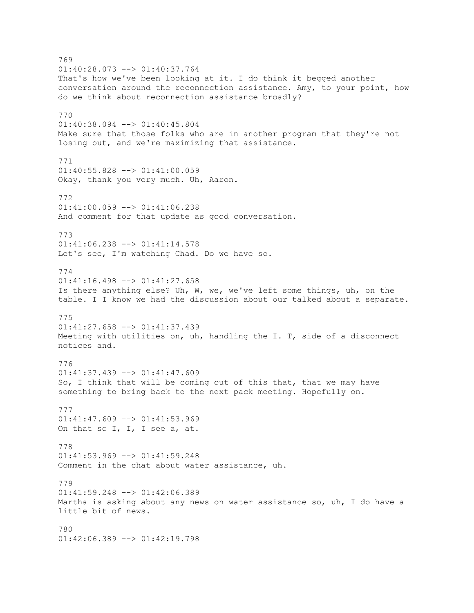769 01:40:28.073 --> 01:40:37.764 That's how we've been looking at it. I do think it begged another conversation around the reconnection assistance. Amy, to your point, how do we think about reconnection assistance broadly? 770 01:40:38.094 --> 01:40:45.804 Make sure that those folks who are in another program that they're not losing out, and we're maximizing that assistance. 771 01:40:55.828 --> 01:41:00.059 Okay, thank you very much. Uh, Aaron. 772  $01:41:00.059$  -->  $01:41:06.238$ And comment for that update as good conversation. 773 01:41:06.238 --> 01:41:14.578 Let's see, I'm watching Chad. Do we have so. 774 01:41:16.498 --> 01:41:27.658 Is there anything else? Uh, W, we, we've left some things, uh, on the table. I I know we had the discussion about our talked about a separate. 775 01:41:27.658 --> 01:41:37.439 Meeting with utilities on, uh, handling the I. T, side of a disconnect notices and. 776 01:41:37.439 --> 01:41:47.609 So, I think that will be coming out of this that, that we may have something to bring back to the next pack meeting. Hopefully on. 777  $01:41:47.609$  -->  $01:41:53.969$ On that so I, I, I see a, at. 778 01:41:53.969 --> 01:41:59.248 Comment in the chat about water assistance, uh. 779 01:41:59.248 --> 01:42:06.389 Martha is asking about any news on water assistance so, uh, I do have a little bit of news. 780 01:42:06.389 --> 01:42:19.798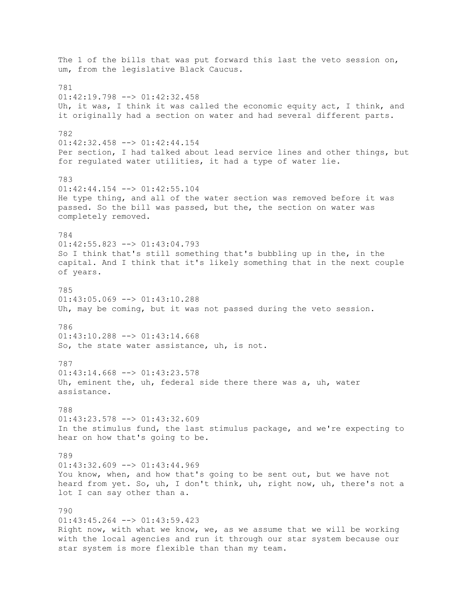The 1 of the bills that was put forward this last the veto session on, um, from the legislative Black Caucus. 781 01:42:19.798 --> 01:42:32.458 Uh, it was, I think it was called the economic equity act, I think, and it originally had a section on water and had several different parts. 782  $01:42:32.458$  -->  $01:42:44.154$ Per section, I had talked about lead service lines and other things, but for regulated water utilities, it had a type of water lie. 783 01:42:44.154 --> 01:42:55.104 He type thing, and all of the water section was removed before it was passed. So the bill was passed, but the, the section on water was completely removed. 784 01:42:55.823 --> 01:43:04.793 So I think that's still something that's bubbling up in the, in the capital. And I think that it's likely something that in the next couple of years. 785  $01:43:05.069$  -->  $01:43:10.288$ Uh, may be coming, but it was not passed during the veto session. 786  $01:43:10.288$  -->  $01:43:14.668$ So, the state water assistance, uh, is not. 787 01:43:14.668 --> 01:43:23.578 Uh, eminent the, uh, federal side there there was a, uh, water assistance. 788  $01:43:23.578$   $\leftarrow$   $>$   $01:43:32.609$ In the stimulus fund, the last stimulus package, and we're expecting to hear on how that's going to be. 789  $01:43:32.609$  -->  $01:43:44.969$ You know, when, and how that's going to be sent out, but we have not heard from yet. So, uh, I don't think, uh, right now, uh, there's not a lot I can say other than a. 790 01:43:45.264 --> 01:43:59.423 Right now, with what we know, we, as we assume that we will be working with the local agencies and run it through our star system because our star system is more flexible than than my team.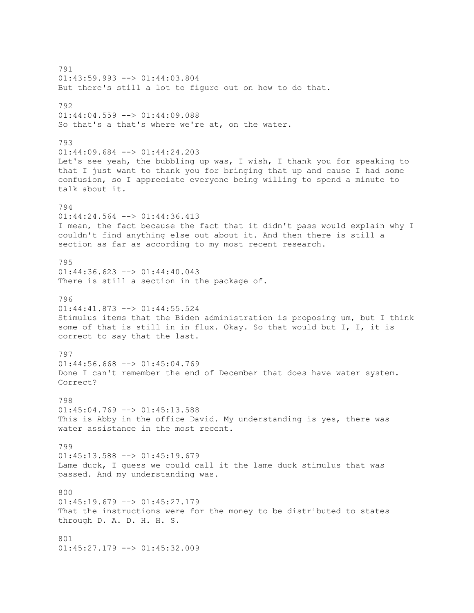791 01:43:59.993 --> 01:44:03.804 But there's still a lot to figure out on how to do that. 792 01:44:04.559 --> 01:44:09.088 So that's a that's where we're at, on the water. 793 01:44:09.684 --> 01:44:24.203 Let's see yeah, the bubbling up was, I wish, I thank you for speaking to that I just want to thank you for bringing that up and cause I had some confusion, so I appreciate everyone being willing to spend a minute to talk about it. 794  $01:44:24.564$  -->  $01:44:36.413$ I mean, the fact because the fact that it didn't pass would explain why I couldn't find anything else out about it. And then there is still a section as far as according to my most recent research. 795 01:44:36.623 --> 01:44:40.043 There is still a section in the package of. 796 01:44:41.873 --> 01:44:55.524 Stimulus items that the Biden administration is proposing um, but I think some of that is still in in flux. Okay. So that would but I, I, it is correct to say that the last. 797  $01:44:56.668$  -->  $01:45:04.769$ Done I can't remember the end of December that does have water system. Correct? 798  $01:45:04.769$  -->  $01:45:13.588$ This is Abby in the office David. My understanding is yes, there was water assistance in the most recent. 799 01:45:13.588 --> 01:45:19.679 Lame duck, I guess we could call it the lame duck stimulus that was passed. And my understanding was. 800 01:45:19.679 --> 01:45:27.179 That the instructions were for the money to be distributed to states through D. A. D. H. H. S. 801 01:45:27.179 --> 01:45:32.009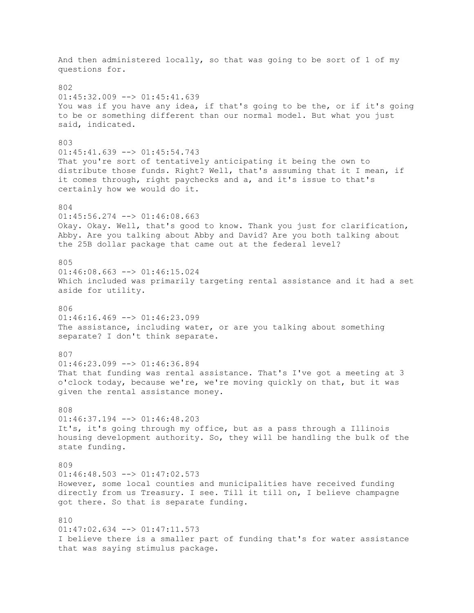And then administered locally, so that was going to be sort of 1 of my questions for. 802 01:45:32.009 --> 01:45:41.639 You was if you have any idea, if that's going to be the, or if it's going to be or something different than our normal model. But what you just said, indicated. 803  $01:45:41.639$  -->  $01:45:54.743$ That you're sort of tentatively anticipating it being the own to distribute those funds. Right? Well, that's assuming that it I mean, if it comes through, right paychecks and a, and it's issue to that's certainly how we would do it. 804  $01:45:56.274$  -->  $01:46:08.663$ Okay. Okay. Well, that's good to know. Thank you just for clarification, Abby. Are you talking about Abby and David? Are you both talking about the 25B dollar package that came out at the federal level? 805 01:46:08.663 --> 01:46:15.024 Which included was primarily targeting rental assistance and it had a set aside for utility. 806  $01:46:16.469$  -->  $01:46:23.099$ The assistance, including water, or are you talking about something separate? I don't think separate. 807  $01:46:23.099$  -->  $01:46:36.894$ That that funding was rental assistance. That's I've got a meeting at 3 o'clock today, because we're, we're moving quickly on that, but it was given the rental assistance money. 808  $01:46:37.194$   $\leftarrow$   $>$   $01:46:48.203$ It's, it's going through my office, but as a pass through a Illinois housing development authority. So, they will be handling the bulk of the state funding. 809  $01:46:48.503$   $\rightarrow$   $01:47:02.573$ However, some local counties and municipalities have received funding directly from us Treasury. I see. Till it till on, I believe champagne got there. So that is separate funding. 810 01:47:02.634 --> 01:47:11.573 I believe there is a smaller part of funding that's for water assistance that was saying stimulus package.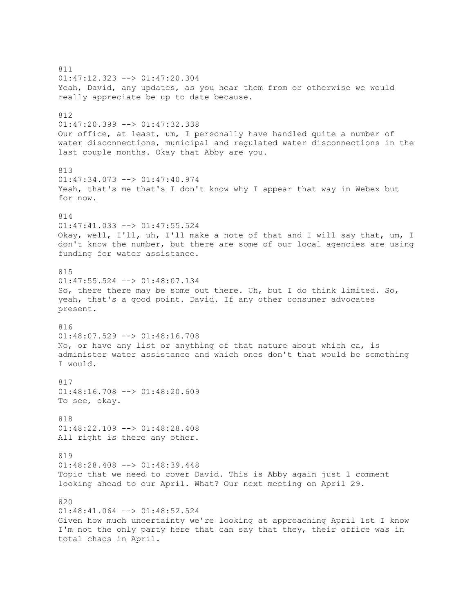811  $01:47:12.323$  -->  $01:47:20.304$ Yeah, David, any updates, as you hear them from or otherwise we would really appreciate be up to date because. 812 01:47:20.399 --> 01:47:32.338 Our office, at least, um, I personally have handled quite a number of water disconnections, municipal and regulated water disconnections in the last couple months. Okay that Abby are you. 813 01:47:34.073 --> 01:47:40.974 Yeah, that's me that's I don't know why I appear that way in Webex but for now. 814 01:47:41.033 --> 01:47:55.524 Okay, well, I'll, uh, I'll make a note of that and I will say that, um, I don't know the number, but there are some of our local agencies are using funding for water assistance. 815 01:47:55.524 --> 01:48:07.134 So, there there may be some out there. Uh, but I do think limited. So, yeah, that's a good point. David. If any other consumer advocates present. 816 01:48:07.529 --> 01:48:16.708 No, or have any list or anything of that nature about which ca, is administer water assistance and which ones don't that would be something I would. 817 01:48:16.708 --> 01:48:20.609 To see, okay. 818 01:48:22.109 --> 01:48:28.408 All right is there any other. 819 01:48:28.408 --> 01:48:39.448 Topic that we need to cover David. This is Abby again just 1 comment looking ahead to our April. What? Our next meeting on April 29. 820 01:48:41.064 --> 01:48:52.524 Given how much uncertainty we're looking at approaching April 1st I know I'm not the only party here that can say that they, their office was in total chaos in April.